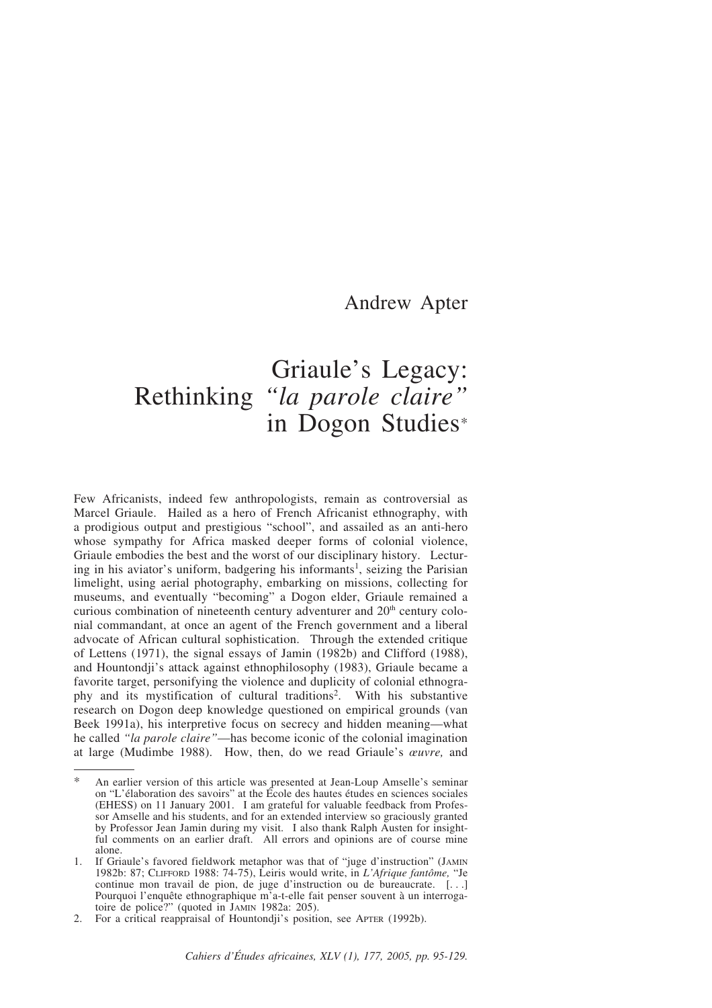# Griaule's Legacy: Rethinking *"la parole claire"* in Dogon Studies\*

Few Africanists, indeed few anthropologists, remain as controversial as Marcel Griaule. Hailed as a hero of French Africanist ethnography, with a prodigious output and prestigious "school", and assailed as an anti-hero whose sympathy for Africa masked deeper forms of colonial violence, Griaule embodies the best and the worst of our disciplinary history. Lecturing in his aviator's uniform, badgering his informants<sup>1</sup>, seizing the Parisian limelight, using aerial photography, embarking on missions, collecting for museums, and eventually "becoming" a Dogon elder, Griaule remained a curious combination of nineteenth century adventurer and  $20<sup>th</sup>$  century colonial commandant, at once an agent of the French government and a liberal advocate of African cultural sophistication. Through the extended critique of Lettens (1971), the signal essays of Jamin (1982b) and Clifford (1988), and Hountondji's attack against ethnophilosophy (1983), Griaule became a favorite target, personifying the violence and duplicity of colonial ethnography and its mystification of cultural traditions2. With his substantive research on Dogon deep knowledge questioned on empirical grounds (van Beek 1991a), his interpretive focus on secrecy and hidden meaning—what he called *"la parole claire"*—has become iconic of the colonial imagination at large (Mudimbe 1988). How, then, do we read Griaule's *œuvre,* and

<sup>\*</sup> An earlier version of this article was presented at Jean-Loup Amselle's seminar on "L'élaboration des savoirs" at the École des hautes études en sciences sociales (EHESS) on 11 January 2001. I am grateful for valuable feedback from Professor Amselle and his students, and for an extended interview so graciously granted by Professor Jean Jamin during my visit. I also thank Ralph Austen for insightful comments on an earlier draft. All errors and opinions are of course mine alone.

<sup>1.</sup> If Griaule's favored fieldwork metaphor was that of "juge d'instruction" (JAMIN 1982b: 87; CLIFFORD 1988: 74-75), Leiris would write, in *L'Afrique fantôme,* "Je continue mon travail de pion, de juge d'instruction ou de bureaucrate. [. . .] Pourquoi l'enquête ethnographique m'a-t-elle fait penser souvent à un interrogatoire de police?" (quoted in JAMIN 1982a: 205).

<sup>2.</sup> For a critical reappraisal of Hountondji's position, see APTER (1992b).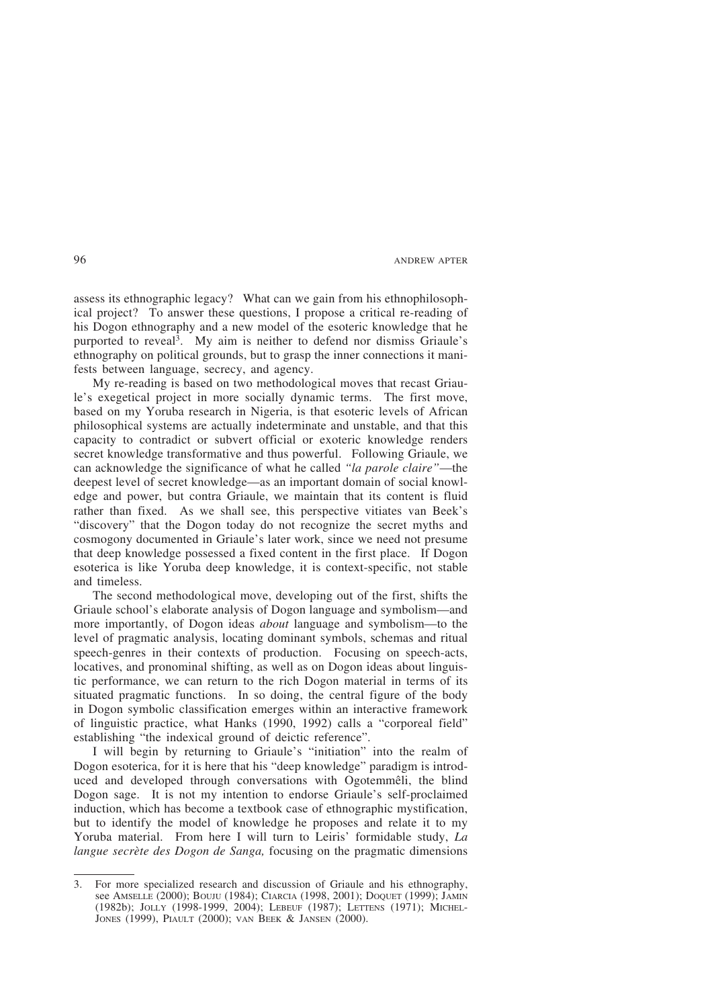assess its ethnographic legacy? What can we gain from his ethnophilosophical project? To answer these questions, I propose a critical re-reading of his Dogon ethnography and a new model of the esoteric knowledge that he purported to reveal<sup>3</sup>. My aim is neither to defend nor dismiss Griaule's ethnography on political grounds, but to grasp the inner connections it manifests between language, secrecy, and agency.

My re-reading is based on two methodological moves that recast Griaule's exegetical project in more socially dynamic terms. The first move, based on my Yoruba research in Nigeria, is that esoteric levels of African philosophical systems are actually indeterminate and unstable, and that this capacity to contradict or subvert official or exoteric knowledge renders secret knowledge transformative and thus powerful. Following Griaule, we can acknowledge the significance of what he called *"la parole claire"*—the deepest level of secret knowledge—as an important domain of social knowledge and power, but contra Griaule, we maintain that its content is fluid rather than fixed. As we shall see, this perspective vitiates van Beek's "discovery" that the Dogon today do not recognize the secret myths and cosmogony documented in Griaule's later work, since we need not presume that deep knowledge possessed a fixed content in the first place. If Dogon esoterica is like Yoruba deep knowledge, it is context-specific, not stable and timeless.

The second methodological move, developing out of the first, shifts the Griaule school's elaborate analysis of Dogon language and symbolism—and more importantly, of Dogon ideas *about* language and symbolism—to the level of pragmatic analysis, locating dominant symbols, schemas and ritual speech-genres in their contexts of production. Focusing on speech-acts, locatives, and pronominal shifting, as well as on Dogon ideas about linguistic performance, we can return to the rich Dogon material in terms of its situated pragmatic functions. In so doing, the central figure of the body in Dogon symbolic classification emerges within an interactive framework of linguistic practice, what Hanks (1990, 1992) calls a "corporeal field" establishing "the indexical ground of deictic reference".

I will begin by returning to Griaule's "initiation" into the realm of Dogon esoterica, for it is here that his "deep knowledge" paradigm is introduced and developed through conversations with Ogotemmêli, the blind Dogon sage. It is not my intention to endorse Griaule's self-proclaimed induction, which has become a textbook case of ethnographic mystification, but to identify the model of knowledge he proposes and relate it to my Yoruba material. From here I will turn to Leiris' formidable study, *La langue secrète des Dogon de Sanga,* focusing on the pragmatic dimensions

<sup>3.</sup> For more specialized research and discussion of Griaule and his ethnography, see AMSELLE (2000); BOUJU (1984); CIARCIA (1998, 2001); DOQUET (1999); JAMIN (1982b); JOLLY (1998-1999, 2004); LEBEUF (1987); LETTENS (1971); MICHEL-JONES (1999), PIAULT (2000); VAN BEEK & JANSEN (2000).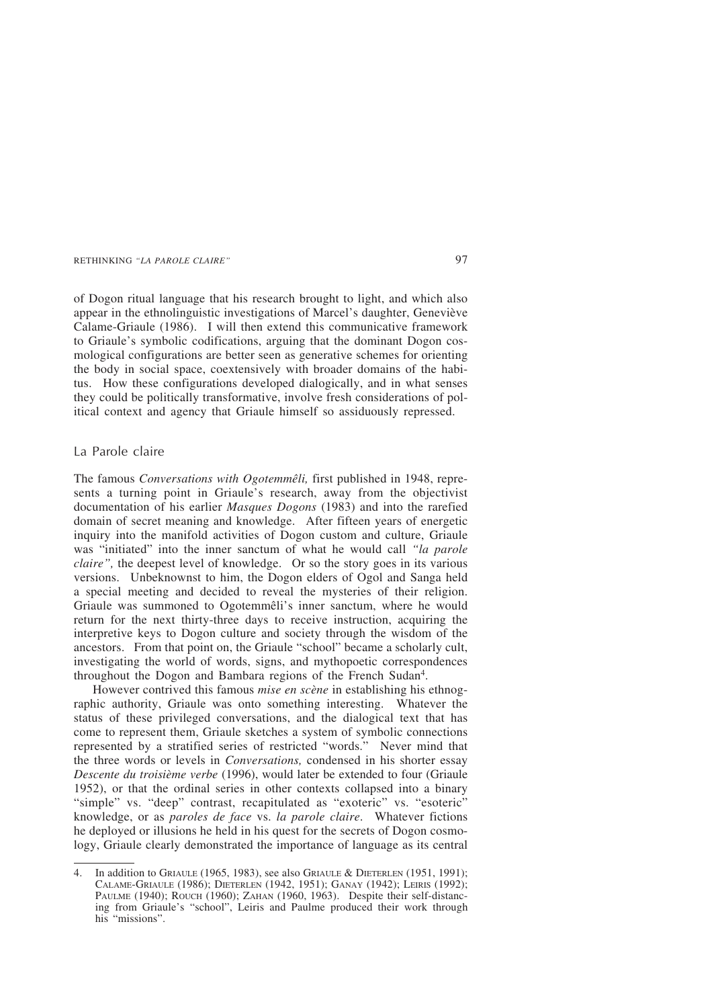of Dogon ritual language that his research brought to light, and which also appear in the ethnolinguistic investigations of Marcel's daughter, Geneviève Calame-Griaule (1986). I will then extend this communicative framework to Griaule's symbolic codifications, arguing that the dominant Dogon cosmological configurations are better seen as generative schemes for orienting the body in social space, coextensively with broader domains of the habitus. How these configurations developed dialogically, and in what senses they could be politically transformative, involve fresh considerations of political context and agency that Griaule himself so assiduously repressed.

## La Parole claire

The famous *Conversations with Ogotemmêli,* first published in 1948, represents a turning point in Griaule's research, away from the objectivist documentation of his earlier *Masques Dogons* (1983) and into the rarefied domain of secret meaning and knowledge. After fifteen years of energetic inquiry into the manifold activities of Dogon custom and culture, Griaule was "initiated" into the inner sanctum of what he would call *"la parole claire",* the deepest level of knowledge. Or so the story goes in its various versions. Unbeknownst to him, the Dogon elders of Ogol and Sanga held a special meeting and decided to reveal the mysteries of their religion. Griaule was summoned to Ogotemmêli's inner sanctum, where he would return for the next thirty-three days to receive instruction, acquiring the interpretive keys to Dogon culture and society through the wisdom of the ancestors. From that point on, the Griaule "school" became a scholarly cult, investigating the world of words, signs, and mythopoetic correspondences throughout the Dogon and Bambara regions of the French Sudan4.

However contrived this famous *mise en scène* in establishing his ethnographic authority, Griaule was onto something interesting. Whatever the status of these privileged conversations, and the dialogical text that has come to represent them, Griaule sketches a system of symbolic connections represented by a stratified series of restricted "words." Never mind that the three words or levels in *Conversations,* condensed in his shorter essay *Descente du troisième verbe* (1996), would later be extended to four (Griaule 1952), or that the ordinal series in other contexts collapsed into a binary "simple" vs. "deep" contrast, recapitulated as "exoteric" vs. "esoteric" knowledge, or as *paroles de face* vs. *la parole claire*. Whatever fictions he deployed or illusions he held in his quest for the secrets of Dogon cosmology, Griaule clearly demonstrated the importance of language as its central

<sup>4.</sup> In addition to GRIAULE (1965, 1983), see also GRIAULE & DIETERLEN (1951, 1991); CALAME-GRIAULE (1986); DIETERLEN (1942, 1951); GANAY (1942); LEIRIS (1992); PAULME (1940); ROUCH (1960); ZAHAN (1960, 1963). Despite their self-distancing from Griaule's "school", Leiris and Paulme produced their work through his "missions".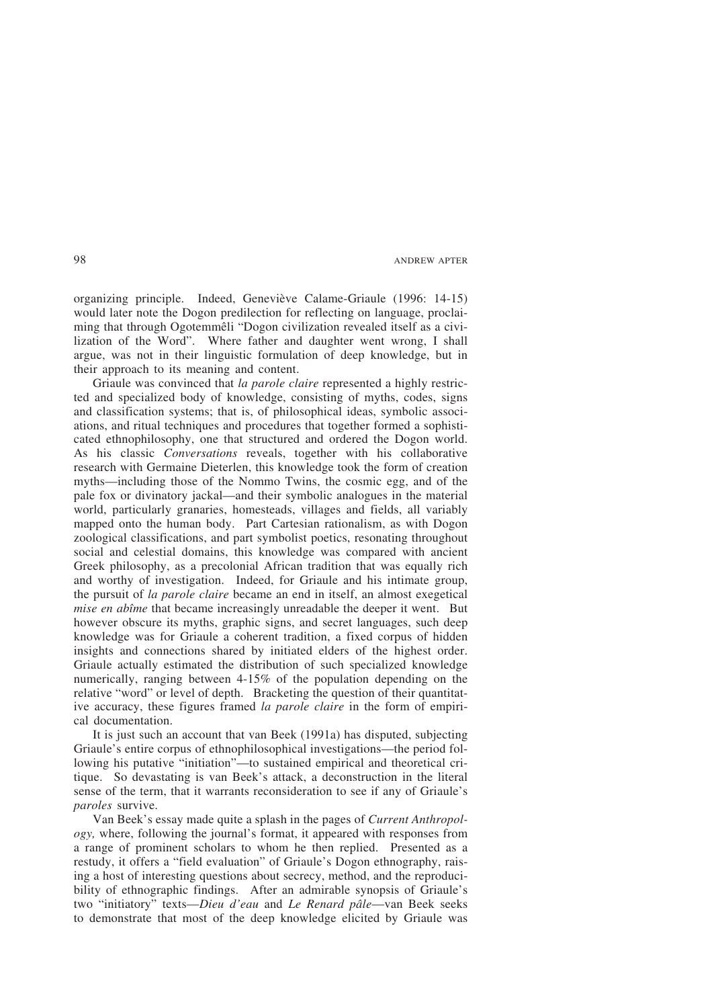organizing principle. Indeed, Geneviève Calame-Griaule (1996: 14-15) would later note the Dogon predilection for reflecting on language, proclaiming that through Ogotemmêli "Dogon civilization revealed itself as a civilization of the Word". Where father and daughter went wrong, I shall argue, was not in their linguistic formulation of deep knowledge, but in their approach to its meaning and content.

Griaule was convinced that *la parole claire* represented a highly restricted and specialized body of knowledge, consisting of myths, codes, signs and classification systems; that is, of philosophical ideas, symbolic associations, and ritual techniques and procedures that together formed a sophisticated ethnophilosophy, one that structured and ordered the Dogon world. As his classic *Conversations* reveals, together with his collaborative research with Germaine Dieterlen, this knowledge took the form of creation myths—including those of the Nommo Twins, the cosmic egg, and of the pale fox or divinatory jackal—and their symbolic analogues in the material world, particularly granaries, homesteads, villages and fields, all variably mapped onto the human body. Part Cartesian rationalism, as with Dogon zoological classifications, and part symbolist poetics, resonating throughout social and celestial domains, this knowledge was compared with ancient Greek philosophy, as a precolonial African tradition that was equally rich and worthy of investigation. Indeed, for Griaule and his intimate group, the pursuit of *la parole claire* became an end in itself, an almost exegetical *mise en abîme* that became increasingly unreadable the deeper it went. But however obscure its myths, graphic signs, and secret languages, such deep knowledge was for Griaule a coherent tradition, a fixed corpus of hidden insights and connections shared by initiated elders of the highest order. Griaule actually estimated the distribution of such specialized knowledge numerically, ranging between 4-15% of the population depending on the relative "word" or level of depth. Bracketing the question of their quantitative accuracy, these figures framed *la parole claire* in the form of empirical documentation.

It is just such an account that van Beek (1991a) has disputed, subjecting Griaule's entire corpus of ethnophilosophical investigations—the period following his putative "initiation"—to sustained empirical and theoretical critique. So devastating is van Beek's attack, a deconstruction in the literal sense of the term, that it warrants reconsideration to see if any of Griaule's *paroles* survive.

Van Beek's essay made quite a splash in the pages of *Current Anthropology,* where, following the journal's format, it appeared with responses from a range of prominent scholars to whom he then replied. Presented as a restudy, it offers a "field evaluation" of Griaule's Dogon ethnography, raising a host of interesting questions about secrecy, method, and the reproducibility of ethnographic findings. After an admirable synopsis of Griaule's two "initiatory" texts—*Dieu d'eau* and *Le Renard pâle*—van Beek seeks to demonstrate that most of the deep knowledge elicited by Griaule was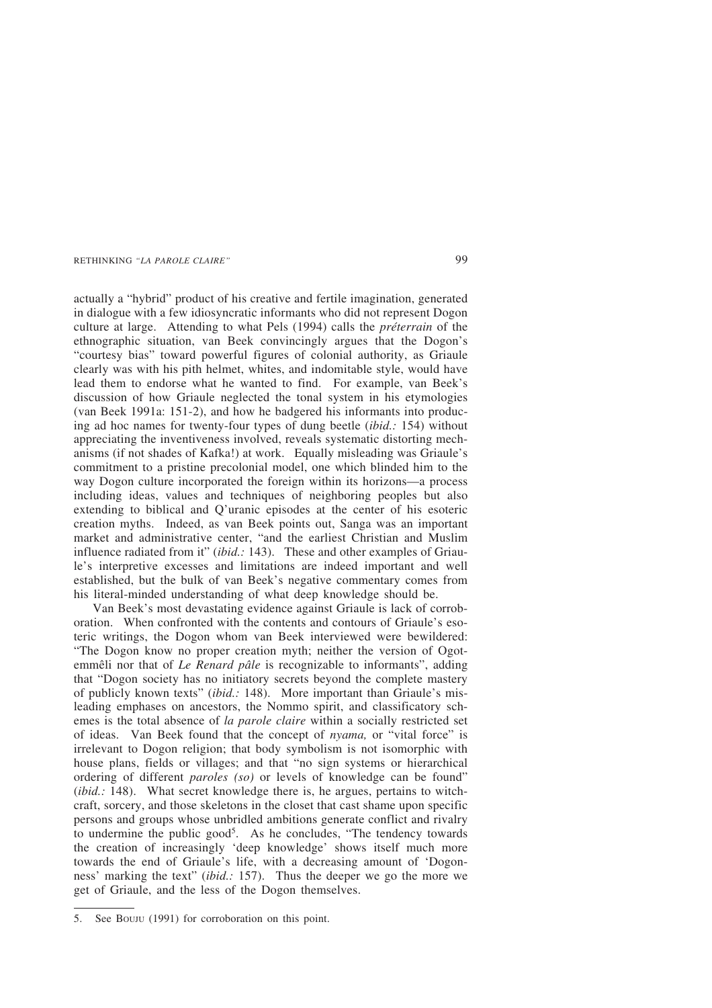actually a "hybrid" product of his creative and fertile imagination, generated in dialogue with a few idiosyncratic informants who did not represent Dogon culture at large. Attending to what Pels (1994) calls the *préterrain* of the ethnographic situation, van Beek convincingly argues that the Dogon's "courtesy bias" toward powerful figures of colonial authority, as Griaule clearly was with his pith helmet, whites, and indomitable style, would have lead them to endorse what he wanted to find. For example, van Beek's discussion of how Griaule neglected the tonal system in his etymologies (van Beek 1991a: 151-2), and how he badgered his informants into producing ad hoc names for twenty-four types of dung beetle (*ibid.:* 154) without appreciating the inventiveness involved, reveals systematic distorting mechanisms (if not shades of Kafka!) at work. Equally misleading was Griaule's commitment to a pristine precolonial model, one which blinded him to the way Dogon culture incorporated the foreign within its horizons—a process including ideas, values and techniques of neighboring peoples but also extending to biblical and Q'uranic episodes at the center of his esoteric creation myths. Indeed, as van Beek points out, Sanga was an important market and administrative center, "and the earliest Christian and Muslim influence radiated from it" (*ibid.:* 143). These and other examples of Griaule's interpretive excesses and limitations are indeed important and well established, but the bulk of van Beek's negative commentary comes from his literal-minded understanding of what deep knowledge should be.

Van Beek's most devastating evidence against Griaule is lack of corroboration. When confronted with the contents and contours of Griaule's esoteric writings, the Dogon whom van Beek interviewed were bewildered: "The Dogon know no proper creation myth; neither the version of Ogotemmêli nor that of *Le Renard pâle* is recognizable to informants", adding that "Dogon society has no initiatory secrets beyond the complete mastery of publicly known texts" (*ibid.:* 148). More important than Griaule's misleading emphases on ancestors, the Nommo spirit, and classificatory schemes is the total absence of *la parole claire* within a socially restricted set of ideas. Van Beek found that the concept of *nyama,* or "vital force" is irrelevant to Dogon religion; that body symbolism is not isomorphic with house plans, fields or villages; and that "no sign systems or hierarchical ordering of different *paroles (so)* or levels of knowledge can be found" (*ibid.*: 148). What secret knowledge there is, he argues, pertains to witchcraft, sorcery, and those skeletons in the closet that cast shame upon specific persons and groups whose unbridled ambitions generate conflict and rivalry to undermine the public good<sup>5</sup>. As he concludes, "The tendency towards" the creation of increasingly 'deep knowledge' shows itself much more towards the end of Griaule's life, with a decreasing amount of 'Dogonness' marking the text" (*ibid.:* 157). Thus the deeper we go the more we get of Griaule, and the less of the Dogon themselves.

<sup>5.</sup> See BOUJU (1991) for corroboration on this point.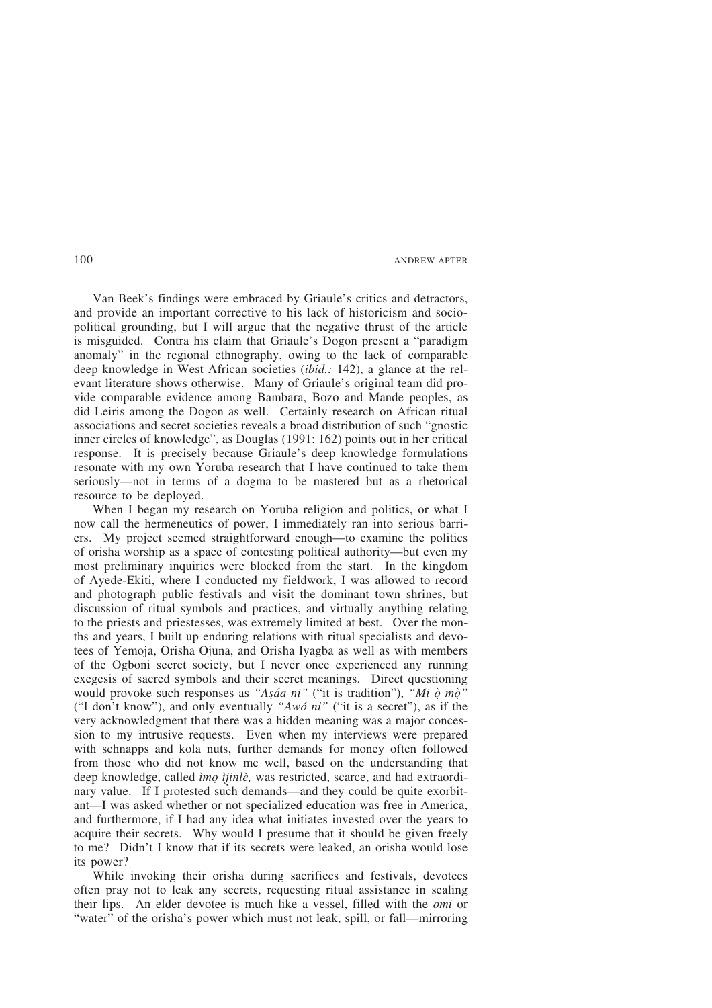Van Beek's findings were embraced by Griaule's critics and detractors, and provide an important corrective to his lack of historicism and sociopolitical grounding, but I will argue that the negative thrust of the article is misguided. Contra his claim that Griaule's Dogon present a "paradigm anomaly" in the regional ethnography, owing to the lack of comparable deep knowledge in West African societies (*ibid.:* 142), a glance at the relevant literature shows otherwise. Many of Griaule's original team did provide comparable evidence among Bambara, Bozo and Mande peoples, as did Leiris among the Dogon as well. Certainly research on African ritual associations and secret societies reveals a broad distribution of such "gnostic inner circles of knowledge", as Douglas (1991: 162) points out in her critical response. It is precisely because Griaule's deep knowledge formulations resonate with my own Yoruba research that I have continued to take them seriously—not in terms of a dogma to be mastered but as a rhetorical resource to be deployed.

When I began my research on Yoruba religion and politics, or what I now call the hermeneutics of power, I immediately ran into serious barriers. My project seemed straightforward enough—to examine the politics of orisha worship as a space of contesting political authority—but even my most preliminary inquiries were blocked from the start. In the kingdom of Ayede-Ekiti, where I conducted my fieldwork, I was allowed to record and photograph public festivals and visit the dominant town shrines, but discussion of ritual symbols and practices, and virtually anything relating to the priests and priestesses, was extremely limited at best. Over the months and years, I built up enduring relations with ritual specialists and devotees of Yemoja, Orisha Ojuna, and Orisha Iyagba as well as with members of the Ogboni secret society, but I never once experienced any running exegesis of sacred symbols and their secret meanings. Direct questioning would provoke such responses as "As*áa ni"* ("it is tradition"), "Mi  $\dot{\phi}$  m $\dot{\phi}$ " ("I don't know"), and only eventually *"Awo´ ni"* ("it is a secret"), as if the very acknowledgment that there was a hidden meaning was a major concession to my intrusive requests. Even when my interviews were prepared with schnapps and kola nuts, further demands for money often followed from those who did not know me well, based on the understanding that deep knowledge, called *ìmo ìjinlè*, was restricted, scarce, and had extraordinary value. If I protested such demands—and they could be quite exorbitant—I was asked whether or not specialized education was free in America, and furthermore, if I had any idea what initiates invested over the years to acquire their secrets. Why would I presume that it should be given freely to me? Didn't I know that if its secrets were leaked, an orisha would lose its power?

While invoking their orisha during sacrifices and festivals, devotees often pray not to leak any secrets, requesting ritual assistance in sealing their lips. An elder devotee is much like a vessel, filled with the *omi* or "water" of the orisha's power which must not leak, spill, or fall—mirroring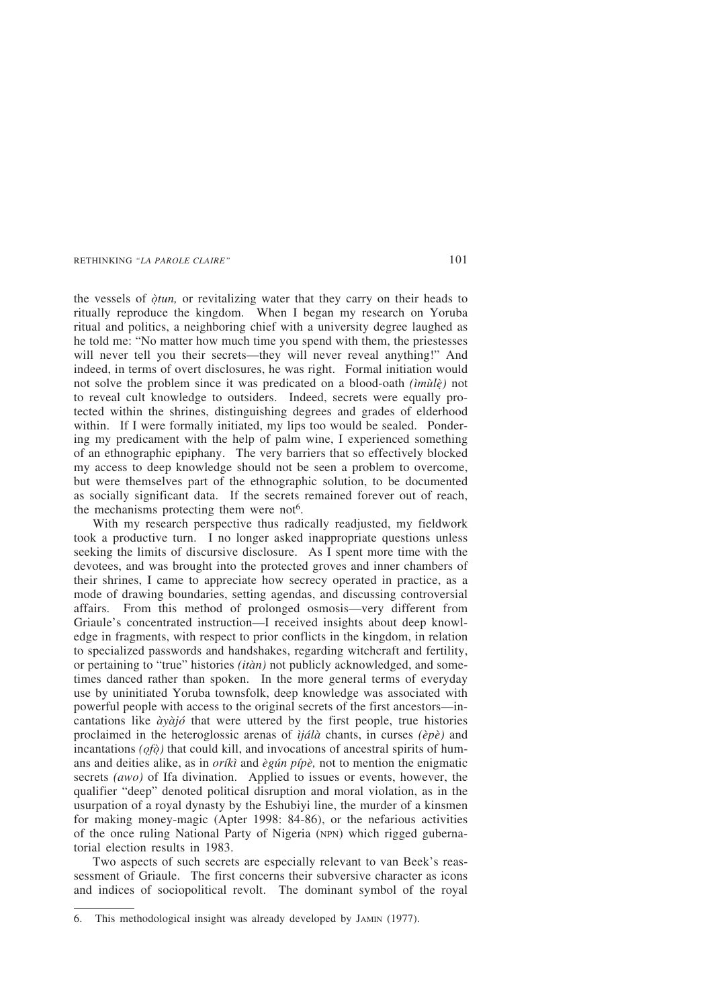the vessels of  $\partial t$ *un*, or revitalizing water that they carry on their heads to ritually reproduce the kingdom. When I began my research on Yoruba ritual and politics, a neighboring chief with a university degree laughed as he told me: "No matter how much time you spend with them, the priestesses will never tell you their secrets—they will never reveal anything!" And indeed, in terms of overt disclosures, he was right. Formal initiation would not solve the problem since it was predicated on a blood-oath *(imùlè)* not to reveal cult knowledge to outsiders. Indeed, secrets were equally protected within the shrines, distinguishing degrees and grades of elderhood within. If I were formally initiated, my lips too would be sealed. Pondering my predicament with the help of palm wine, I experienced something of an ethnographic epiphany. The very barriers that so effectively blocked my access to deep knowledge should not be seen a problem to overcome, but were themselves part of the ethnographic solution, to be documented as socially significant data. If the secrets remained forever out of reach, the mechanisms protecting them were not<sup> $6$ </sup>.

With my research perspective thus radically readjusted, my fieldwork took a productive turn. I no longer asked inappropriate questions unless seeking the limits of discursive disclosure. As I spent more time with the devotees, and was brought into the protected groves and inner chambers of their shrines, I came to appreciate how secrecy operated in practice, as a mode of drawing boundaries, setting agendas, and discussing controversial affairs. From this method of prolonged osmosis—very different from Griaule's concentrated instruction—I received insights about deep knowledge in fragments, with respect to prior conflicts in the kingdom, in relation to specialized passwords and handshakes, regarding witchcraft and fertility, or pertaining to "true" histories *(itàn)* not publicly acknowledged, and sometimes danced rather than spoken. In the more general terms of everyday use by uninitiated Yoruba townsfolk, deep knowledge was associated with powerful people with access to the original secrets of the first ancestors—incantations like *àyàjo´* that were uttered by the first people, true histories proclaimed in the heteroglossic arenas of *`ıja´là* chants, in curses *(èpè)* and incantations  $(\phi \hat{\rho})$  that could kill, and invocations of ancestral spirits of humans and deities alike, as in *orı´kı`* and *ègu´n pı´pè,* not to mention the enigmatic secrets *(awo)* of Ifa divination. Applied to issues or events, however, the qualifier "deep" denoted political disruption and moral violation, as in the usurpation of a royal dynasty by the Eshubiyi line, the murder of a kinsmen for making money-magic (Apter 1998: 84-86), or the nefarious activities of the once ruling National Party of Nigeria (NPN) which rigged gubernatorial election results in 1983.

Two aspects of such secrets are especially relevant to van Beek's reassessment of Griaule. The first concerns their subversive character as icons and indices of sociopolitical revolt. The dominant symbol of the royal

<sup>6.</sup> This methodological insight was already developed by JAMIN (1977).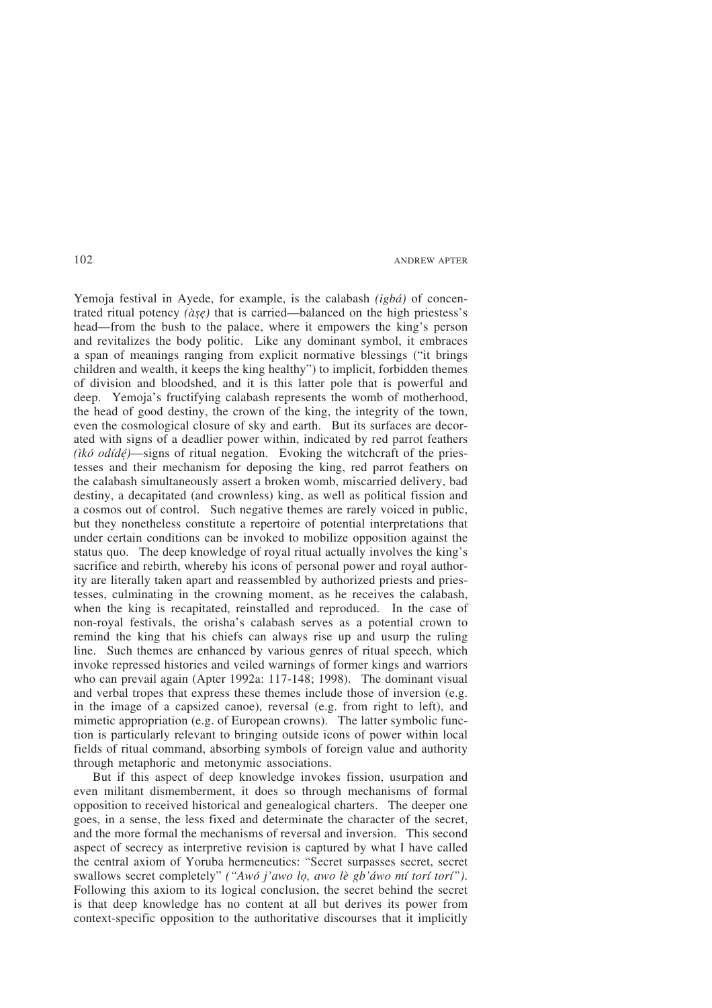Yemoja festival in Ayede, for example, is the calabash *(igbá)* of concentrated ritual potency *(àse)* that is carried—balanced on the high priestess's head—from the bush to the palace, where it empowers the king's person and revitalizes the body politic. Like any dominant symbol, it embraces a span of meanings ranging from explicit normative blessings ("it brings children and wealth, it keeps the king healthy") to implicit, forbidden themes of division and bloodshed, and it is this latter pole that is powerful and deep. Yemoja's fructifying calabash represents the womb of motherhood, the head of good destiny, the crown of the king, the integrity of the town, even the cosmological closure of sky and earth. But its surfaces are decorated with signs of a deadlier power within, indicated by red parrot feathers  $(ik\acute{o} \text{ odd }\acute{e})$ —signs of ritual negation. Evoking the witchcraft of the priestesses and their mechanism for deposing the king, red parrot feathers on the calabash simultaneously assert a broken womb, miscarried delivery, bad destiny, a decapitated (and crownless) king, as well as political fission and a cosmos out of control. Such negative themes are rarely voiced in public, but they nonetheless constitute a repertoire of potential interpretations that under certain conditions can be invoked to mobilize opposition against the status quo. The deep knowledge of royal ritual actually involves the king's sacrifice and rebirth, whereby his icons of personal power and royal authority are literally taken apart and reassembled by authorized priests and priestesses, culminating in the crowning moment, as he receives the calabash, when the king is recapitated, reinstalled and reproduced. In the case of non-royal festivals, the orisha's calabash serves as a potential crown to remind the king that his chiefs can always rise up and usurp the ruling line. Such themes are enhanced by various genres of ritual speech, which invoke repressed histories and veiled warnings of former kings and warriors who can prevail again (Apter 1992a: 117-148; 1998). The dominant visual and verbal tropes that express these themes include those of inversion (e.g. in the image of a capsized canoe), reversal (e.g. from right to left), and mimetic appropriation (e.g. of European crowns). The latter symbolic function is particularly relevant to bringing outside icons of power within local fields of ritual command, absorbing symbols of foreign value and authority through metaphoric and metonymic associations.

But if this aspect of deep knowledge invokes fission, usurpation and even militant dismemberment, it does so through mechanisms of formal opposition to received historical and genealogical charters. The deeper one goes, in a sense, the less fixed and determinate the character of the secret, and the more formal the mechanisms of reversal and inversion. This second aspect of secrecy as interpretive revision is captured by what I have called the central axiom of Yoruba hermeneutics: "Secret surpasses secret, secret swallows secret completely" *("Awó j'awo lo, awo lè gb'áwo mí torí torí")*. Following this axiom to its logical conclusion, the secret behind the secret is that deep knowledge has no content at all but derives its power from context-specific opposition to the authoritative discourses that it implicitly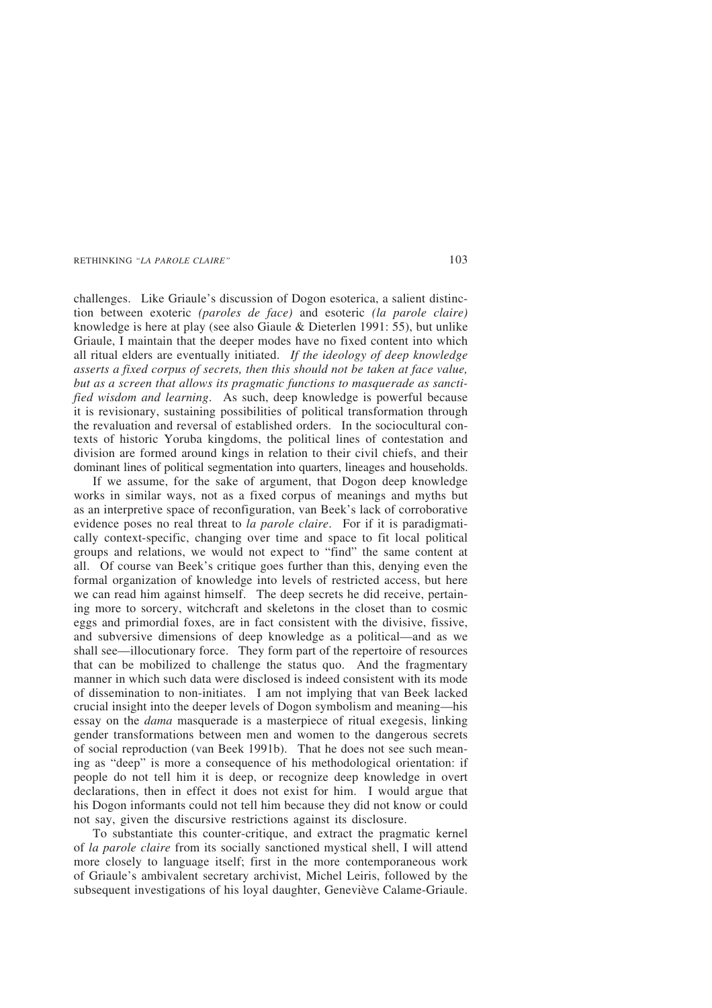challenges. Like Griaule's discussion of Dogon esoterica, a salient distinction between exoteric *(paroles de face)* and esoteric *(la parole claire)* knowledge is here at play (see also Giaule & Dieterlen 1991: 55), but unlike Griaule, I maintain that the deeper modes have no fixed content into which all ritual elders are eventually initiated. *If the ideology of deep knowledge asserts a fixed corpus of secrets, then this should not be taken at face value, but as a screen that allows its pragmatic functions to masquerade as sanctified wisdom and learning*. As such, deep knowledge is powerful because it is revisionary, sustaining possibilities of political transformation through the revaluation and reversal of established orders. In the sociocultural contexts of historic Yoruba kingdoms, the political lines of contestation and division are formed around kings in relation to their civil chiefs, and their dominant lines of political segmentation into quarters, lineages and households.

If we assume, for the sake of argument, that Dogon deep knowledge works in similar ways, not as a fixed corpus of meanings and myths but as an interpretive space of reconfiguration, van Beek's lack of corroborative evidence poses no real threat to *la parole claire*. For if it is paradigmatically context-specific, changing over time and space to fit local political groups and relations, we would not expect to "find" the same content at all. Of course van Beek's critique goes further than this, denying even the formal organization of knowledge into levels of restricted access, but here we can read him against himself. The deep secrets he did receive, pertaining more to sorcery, witchcraft and skeletons in the closet than to cosmic eggs and primordial foxes, are in fact consistent with the divisive, fissive, and subversive dimensions of deep knowledge as a political—and as we shall see—illocutionary force. They form part of the repertoire of resources that can be mobilized to challenge the status quo. And the fragmentary manner in which such data were disclosed is indeed consistent with its mode of dissemination to non-initiates. I am not implying that van Beek lacked crucial insight into the deeper levels of Dogon symbolism and meaning—his essay on the *dama* masquerade is a masterpiece of ritual exegesis, linking gender transformations between men and women to the dangerous secrets of social reproduction (van Beek 1991b). That he does not see such meaning as "deep" is more a consequence of his methodological orientation: if people do not tell him it is deep, or recognize deep knowledge in overt declarations, then in effect it does not exist for him. I would argue that his Dogon informants could not tell him because they did not know or could not say, given the discursive restrictions against its disclosure.

To substantiate this counter-critique, and extract the pragmatic kernel of *la parole claire* from its socially sanctioned mystical shell, I will attend more closely to language itself; first in the more contemporaneous work of Griaule's ambivalent secretary archivist, Michel Leiris, followed by the subsequent investigations of his loyal daughter, Geneviève Calame-Griaule.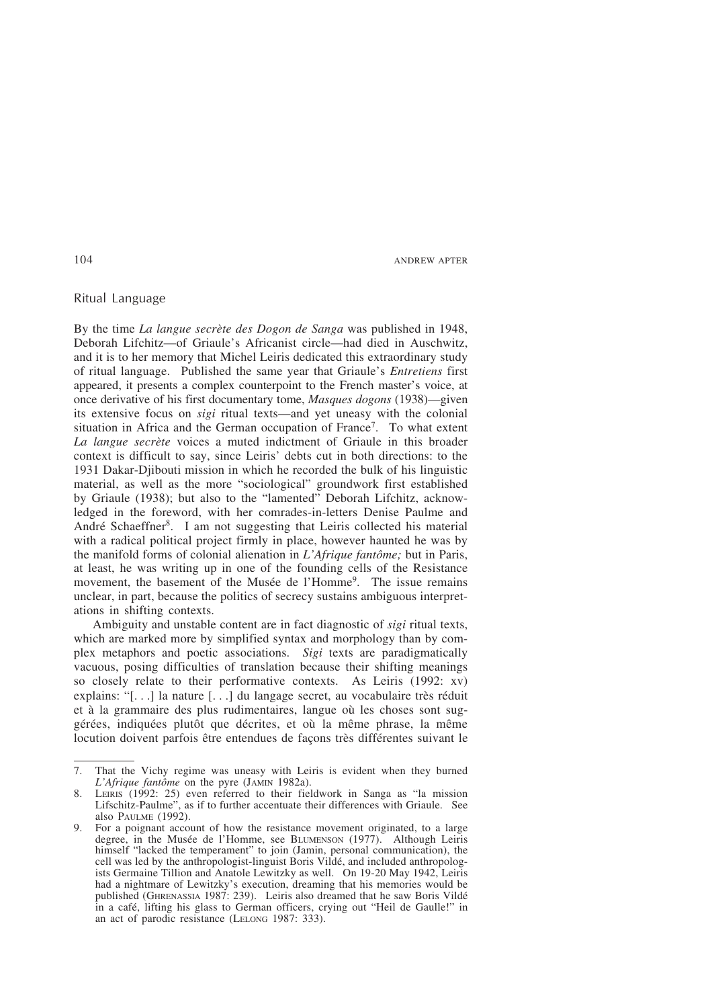# Ritual Language

By the time *La langue secrète des Dogon de Sanga* was published in 1948, Deborah Lifchitz—of Griaule's Africanist circle—had died in Auschwitz, and it is to her memory that Michel Leiris dedicated this extraordinary study of ritual language. Published the same year that Griaule's *Entretiens* first appeared, it presents a complex counterpoint to the French master's voice, at once derivative of his first documentary tome, *Masques dogons* (1938)—given its extensive focus on *sigi* ritual texts—and yet uneasy with the colonial situation in Africa and the German occupation of France<sup>7</sup>. To what extent *La langue secrète* voices a muted indictment of Griaule in this broader context is difficult to say, since Leiris' debts cut in both directions: to the 1931 Dakar-Djibouti mission in which he recorded the bulk of his linguistic material, as well as the more "sociological" groundwork first established by Griaule (1938); but also to the "lamented" Deborah Lifchitz, acknowledged in the foreword, with her comrades-in-letters Denise Paulme and André Schaeffner<sup>8</sup>. I am not suggesting that Leiris collected his material with a radical political project firmly in place, however haunted he was by the manifold forms of colonial alienation in *L'Afrique fantôme;* but in Paris, at least, he was writing up in one of the founding cells of the Resistance movement, the basement of the Musée de l'Homme9. The issue remains unclear, in part, because the politics of secrecy sustains ambiguous interpretations in shifting contexts.

Ambiguity and unstable content are in fact diagnostic of *sigi* ritual texts, which are marked more by simplified syntax and morphology than by complex metaphors and poetic associations. *Sigi* texts are paradigmatically vacuous, posing difficulties of translation because their shifting meanings so closely relate to their performative contexts. As Leiris (1992: xv) explains: "[. . .] la nature [. . .] du langage secret, au vocabulaire très réduit et à la grammaire des plus rudimentaires, langue où les choses sont suggérées, indiquées plutôt que décrites, et où la même phrase, la même locution doivent parfois être entendues de façons très différentes suivant le

<sup>7.</sup> That the Vichy regime was uneasy with Leiris is evident when they burned *L'Afrique fantôme* on the pyre (JAMIN 1982a).

<sup>8.</sup> LEIRIS (1992: 25) even referred to their fieldwork in Sanga as "la mission Lifschitz-Paulme", as if to further accentuate their differences with Griaule. See also PAULME (1992).

<sup>9.</sup> For a poignant account of how the resistance movement originated, to a large degree, in the Musée de l'Homme, see BLUMENSON (1977). Although Leiris himself "lacked the temperament" to join (Jamin, personal communication), the cell was led by the anthropologist-linguist Boris Vildé, and included anthropologists Germaine Tillion and Anatole Lewitzky as well. On 19-20 May 1942, Leiris had a nightmare of Lewitzky's execution, dreaming that his memories would be published (GHRENASSIA 1987: 239). Leiris also dreamed that he saw Boris Vildé in a café, lifting his glass to German officers, crying out "Heil de Gaulle!" in an act of parodic resistance (LELONG 1987: 333).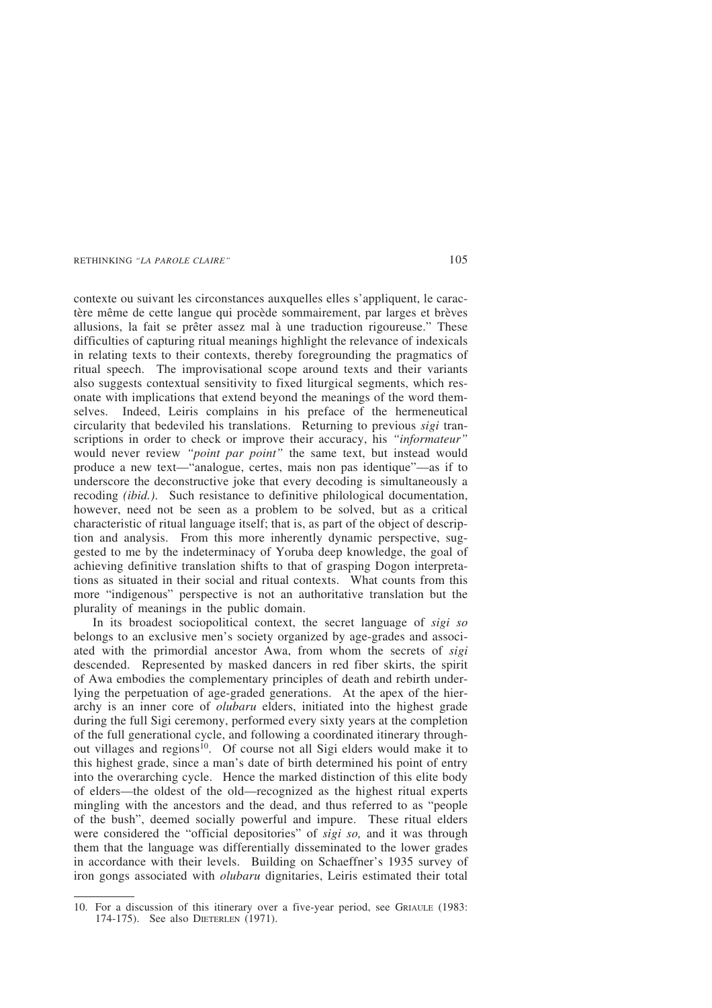contexte ou suivant les circonstances auxquelles elles s'appliquent, le caractère même de cette langue qui procède sommairement, par larges et brèves allusions, la fait se prêter assez mal à une traduction rigoureuse." These difficulties of capturing ritual meanings highlight the relevance of indexicals in relating texts to their contexts, thereby foregrounding the pragmatics of ritual speech. The improvisational scope around texts and their variants also suggests contextual sensitivity to fixed liturgical segments, which resonate with implications that extend beyond the meanings of the word themselves. Indeed, Leiris complains in his preface of the hermeneutical circularity that bedeviled his translations. Returning to previous *sigi* transcriptions in order to check or improve their accuracy, his *"informateur"* would never review *"point par point"* the same text, but instead would produce a new text—"analogue, certes, mais non pas identique"—as if to underscore the deconstructive joke that every decoding is simultaneously a recoding *(ibid.)*. Such resistance to definitive philological documentation, however, need not be seen as a problem to be solved, but as a critical characteristic of ritual language itself; that is, as part of the object of description and analysis. From this more inherently dynamic perspective, suggested to me by the indeterminacy of Yoruba deep knowledge, the goal of achieving definitive translation shifts to that of grasping Dogon interpretations as situated in their social and ritual contexts. What counts from this more "indigenous" perspective is not an authoritative translation but the plurality of meanings in the public domain.

In its broadest sociopolitical context, the secret language of *sigi so* belongs to an exclusive men's society organized by age-grades and associated with the primordial ancestor Awa, from whom the secrets of *sigi* descended. Represented by masked dancers in red fiber skirts, the spirit of Awa embodies the complementary principles of death and rebirth underlying the perpetuation of age-graded generations. At the apex of the hierarchy is an inner core of *olubaru* elders, initiated into the highest grade during the full Sigi ceremony, performed every sixty years at the completion of the full generational cycle, and following a coordinated itinerary throughout villages and regions<sup>10</sup>. Of course not all Sigi elders would make it to this highest grade, since a man's date of birth determined his point of entry into the overarching cycle. Hence the marked distinction of this elite body of elders—the oldest of the old—recognized as the highest ritual experts mingling with the ancestors and the dead, and thus referred to as "people of the bush", deemed socially powerful and impure. These ritual elders were considered the "official depositories" of *sigi so,* and it was through them that the language was differentially disseminated to the lower grades in accordance with their levels. Building on Schaeffner's 1935 survey of iron gongs associated with *olubaru* dignitaries, Leiris estimated their total

<sup>10.</sup> For a discussion of this itinerary over a five-year period, see GRIAULE (1983: 174-175). See also DIETERLEN (1971).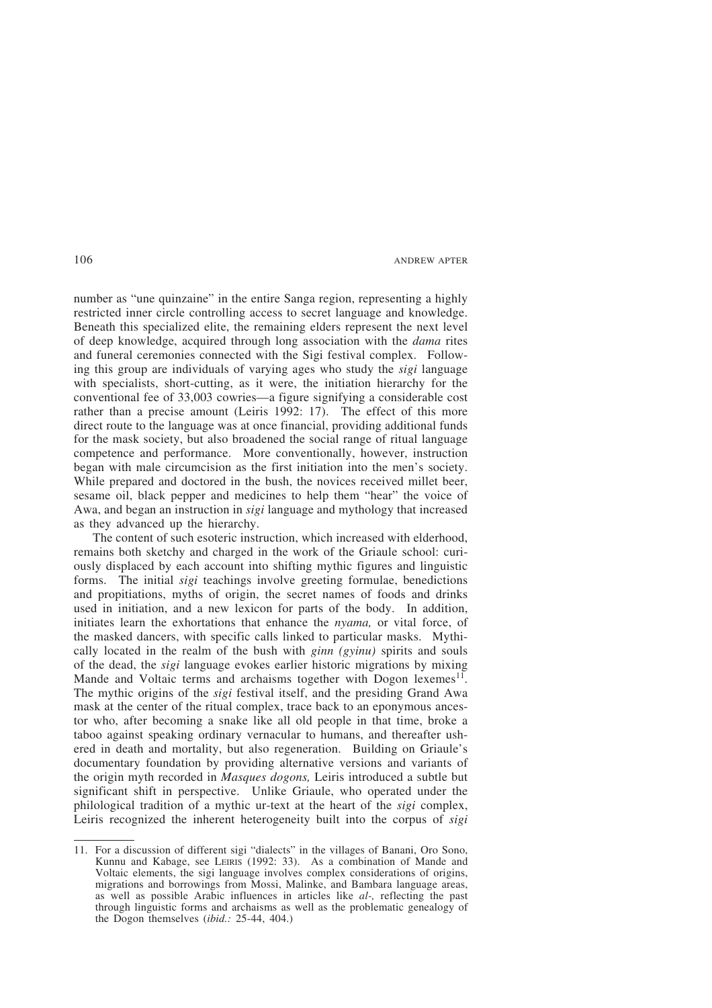number as "une quinzaine" in the entire Sanga region, representing a highly restricted inner circle controlling access to secret language and knowledge. Beneath this specialized elite, the remaining elders represent the next level of deep knowledge, acquired through long association with the *dama* rites and funeral ceremonies connected with the Sigi festival complex. Following this group are individuals of varying ages who study the *sigi* language with specialists, short-cutting, as it were, the initiation hierarchy for the conventional fee of 33,003 cowries—a figure signifying a considerable cost rather than a precise amount (Leiris 1992: 17). The effect of this more direct route to the language was at once financial, providing additional funds for the mask society, but also broadened the social range of ritual language competence and performance. More conventionally, however, instruction began with male circumcision as the first initiation into the men's society. While prepared and doctored in the bush, the novices received millet beer, sesame oil, black pepper and medicines to help them "hear" the voice of Awa, and began an instruction in *sigi* language and mythology that increased as they advanced up the hierarchy.

The content of such esoteric instruction, which increased with elderhood, remains both sketchy and charged in the work of the Griaule school: curiously displaced by each account into shifting mythic figures and linguistic forms. The initial *sigi* teachings involve greeting formulae, benedictions and propitiations, myths of origin, the secret names of foods and drinks used in initiation, and a new lexicon for parts of the body. In addition, initiates learn the exhortations that enhance the *nyama,* or vital force, of the masked dancers, with specific calls linked to particular masks. Mythically located in the realm of the bush with *ginn (gyinu)* spirits and souls of the dead, the *sigi* language evokes earlier historic migrations by mixing Mande and Voltaic terms and archaisms together with Dogon lexemes<sup>11</sup>. The mythic origins of the *sigi* festival itself, and the presiding Grand Awa mask at the center of the ritual complex, trace back to an eponymous ancestor who, after becoming a snake like all old people in that time, broke a taboo against speaking ordinary vernacular to humans, and thereafter ushered in death and mortality, but also regeneration. Building on Griaule's documentary foundation by providing alternative versions and variants of the origin myth recorded in *Masques dogons,* Leiris introduced a subtle but significant shift in perspective. Unlike Griaule, who operated under the philological tradition of a mythic ur-text at the heart of the *sigi* complex, Leiris recognized the inherent heterogeneity built into the corpus of *sigi*

<sup>11.</sup> For a discussion of different sigi "dialects" in the villages of Banani, Oro Sono, Kunnu and Kabage, see LEIRIS (1992: 33). As a combination of Mande and Voltaic elements, the sigi language involves complex considerations of origins, migrations and borrowings from Mossi, Malinke, and Bambara language areas, as well as possible Arabic influences in articles like *al-,* reflecting the past through linguistic forms and archaisms as well as the problematic genealogy of the Dogon themselves (*ibid.:* 25-44, 404.)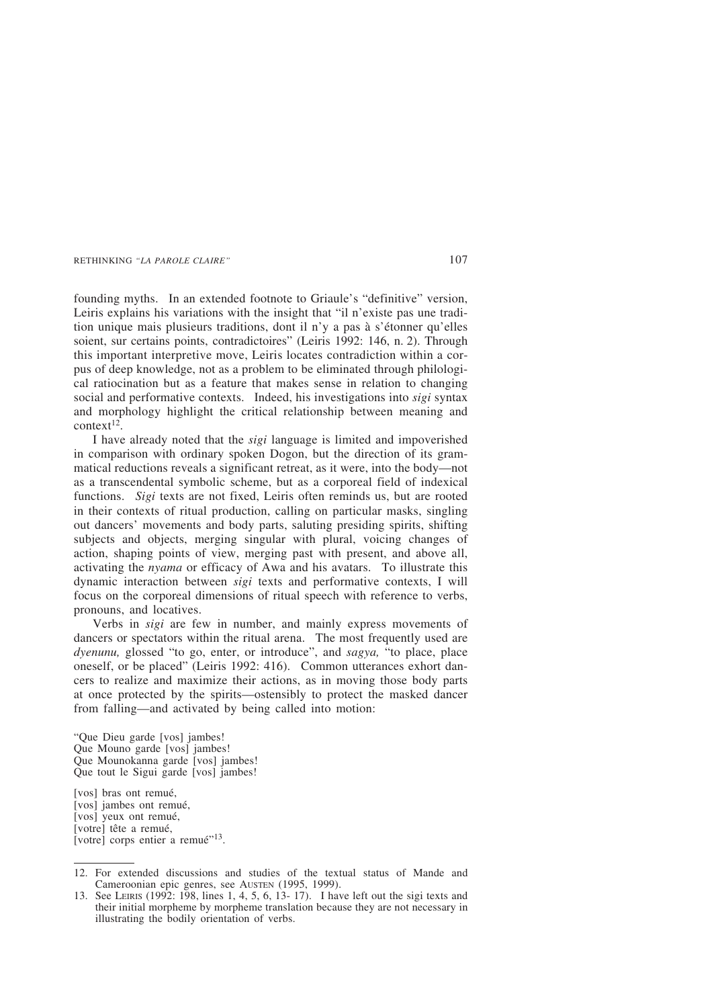founding myths. In an extended footnote to Griaule's "definitive" version, Leiris explains his variations with the insight that "il n'existe pas une tradition unique mais plusieurs traditions, dont il n'y a pas à s'étonner qu'elles soient, sur certains points, contradictoires" (Leiris 1992: 146, n. 2). Through this important interpretive move, Leiris locates contradiction within a corpus of deep knowledge, not as a problem to be eliminated through philological ratiocination but as a feature that makes sense in relation to changing social and performative contexts. Indeed, his investigations into *sigi* syntax and morphology highlight the critical relationship between meaning and  $context<sup>12</sup>$ .

I have already noted that the *sigi* language is limited and impoverished in comparison with ordinary spoken Dogon, but the direction of its grammatical reductions reveals a significant retreat, as it were, into the body—not as a transcendental symbolic scheme, but as a corporeal field of indexical functions. *Sigi* texts are not fixed, Leiris often reminds us, but are rooted in their contexts of ritual production, calling on particular masks, singling out dancers' movements and body parts, saluting presiding spirits, shifting subjects and objects, merging singular with plural, voicing changes of action, shaping points of view, merging past with present, and above all, activating the *nyama* or efficacy of Awa and his avatars. To illustrate this dynamic interaction between *sigi* texts and performative contexts, I will focus on the corporeal dimensions of ritual speech with reference to verbs, pronouns, and locatives.

Verbs in *sigi* are few in number, and mainly express movements of dancers or spectators within the ritual arena. The most frequently used are *dyenunu,* glossed "to go, enter, or introduce", and *sagya,* "to place, place oneself, or be placed" (Leiris 1992: 416). Common utterances exhort dancers to realize and maximize their actions, as in moving those body parts at once protected by the spirits—ostensibly to protect the masked dancer from falling—and activated by being called into motion:

"Que Dieu garde [vos] jambes! Que Mouno garde [vos] jambes! Que Mounokanna garde [vos] jambes! Que tout le Sigui garde [vos] jambes!

[vos] bras ont remué, [vos] jambes ont remué, [vos] yeux ont remué, [votre] tête a remué, [votre] corps entier a remué"<sup>13</sup>.

<sup>12.</sup> For extended discussions and studies of the textual status of Mande and Cameroonian epic genres, see AUSTEN (1995, 1999).

<sup>13.</sup> See LEIRIS (1992: 198, lines 1, 4, 5, 6, 13- 17). I have left out the sigi texts and their initial morpheme by morpheme translation because they are not necessary in illustrating the bodily orientation of verbs.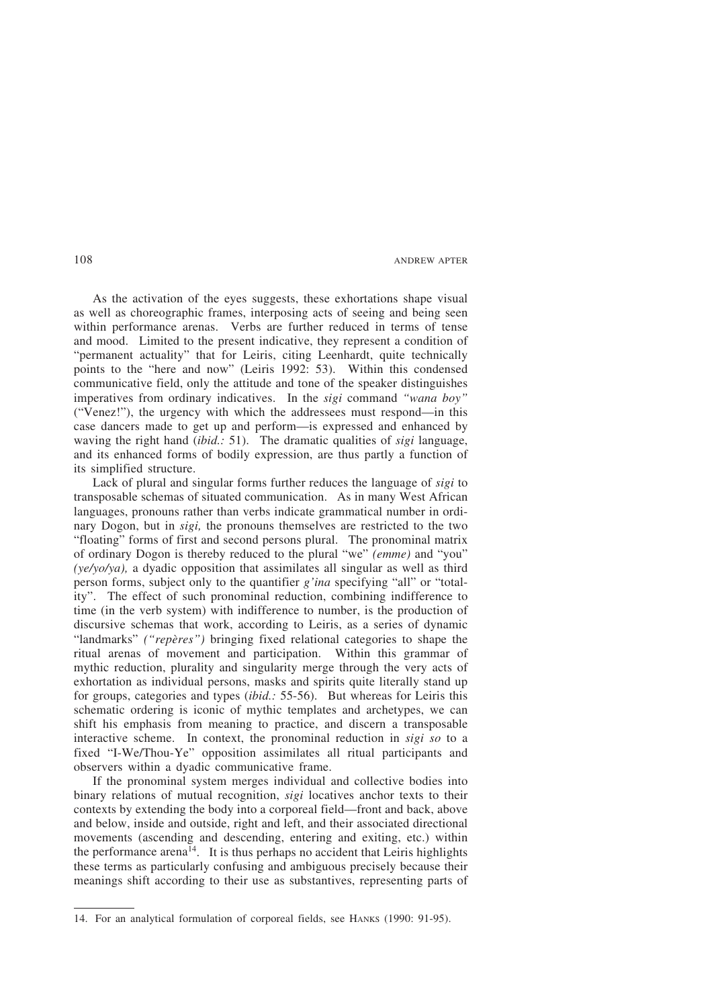As the activation of the eyes suggests, these exhortations shape visual as well as choreographic frames, interposing acts of seeing and being seen within performance arenas. Verbs are further reduced in terms of tense and mood. Limited to the present indicative, they represent a condition of "permanent actuality" that for Leiris, citing Leenhardt, quite technically points to the "here and now" (Leiris 1992: 53). Within this condensed communicative field, only the attitude and tone of the speaker distinguishes imperatives from ordinary indicatives. In the *sigi* command *"wana boy"* ("Venez!"), the urgency with which the addressees must respond—in this case dancers made to get up and perform—is expressed and enhanced by waving the right hand (*ibid.:* 51). The dramatic qualities of *sigi* language, and its enhanced forms of bodily expression, are thus partly a function of its simplified structure.

Lack of plural and singular forms further reduces the language of *sigi* to transposable schemas of situated communication. As in many West African languages, pronouns rather than verbs indicate grammatical number in ordinary Dogon, but in *sigi,* the pronouns themselves are restricted to the two "floating" forms of first and second persons plural. The pronominal matrix of ordinary Dogon is thereby reduced to the plural "we" *(emme)* and "you" *(ye/yo/ya),* a dyadic opposition that assimilates all singular as well as third person forms, subject only to the quantifier *g'ina* specifying "all" or "totality". The effect of such pronominal reduction, combining indifference to time (in the verb system) with indifference to number, is the production of discursive schemas that work, according to Leiris, as a series of dynamic "landmarks" *("repères")* bringing fixed relational categories to shape the ritual arenas of movement and participation. Within this grammar of mythic reduction, plurality and singularity merge through the very acts of exhortation as individual persons, masks and spirits quite literally stand up for groups, categories and types (*ibid.:* 55-56). But whereas for Leiris this schematic ordering is iconic of mythic templates and archetypes, we can shift his emphasis from meaning to practice, and discern a transposable interactive scheme. In context, the pronominal reduction in *sigi so* to a fixed "I-We/Thou-Ye" opposition assimilates all ritual participants and observers within a dyadic communicative frame.

If the pronominal system merges individual and collective bodies into binary relations of mutual recognition, *sigi* locatives anchor texts to their contexts by extending the body into a corporeal field—front and back, above and below, inside and outside, right and left, and their associated directional movements (ascending and descending, entering and exiting, etc.) within the performance arena<sup>14</sup>. It is thus perhaps no accident that Leiris highlights these terms as particularly confusing and ambiguous precisely because their meanings shift according to their use as substantives, representing parts of

<sup>14.</sup> For an analytical formulation of corporeal fields, see HANKS (1990: 91-95).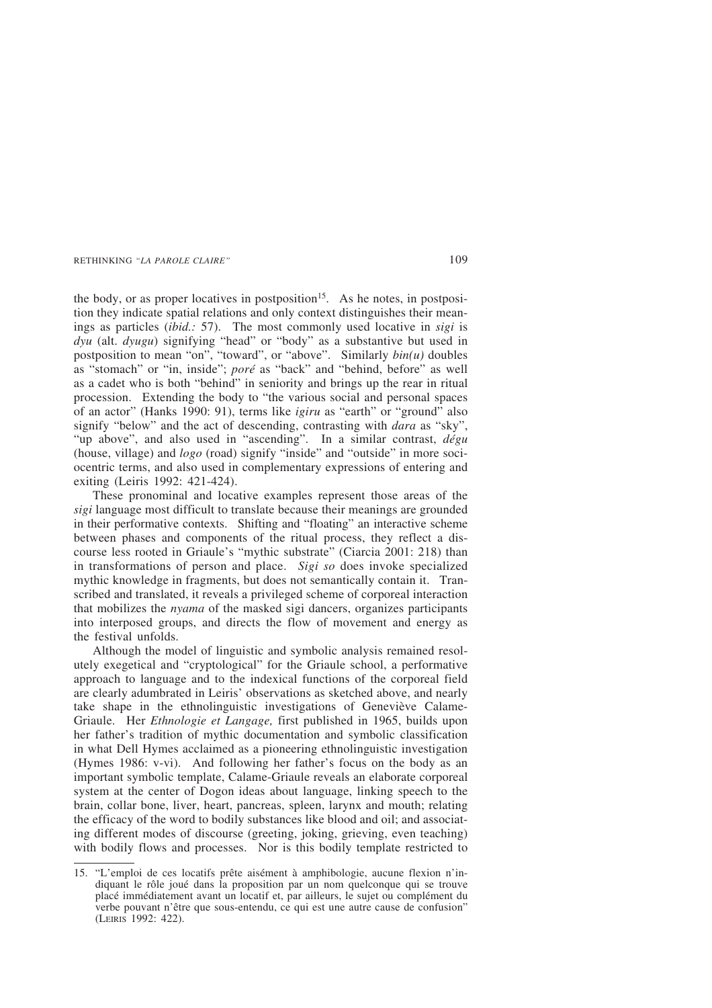the body, or as proper locatives in postposition<sup>15</sup>. As he notes, in postposition they indicate spatial relations and only context distinguishes their meanings as particles (*ibid.:* 57). The most commonly used locative in *sigi* is *dyu* (alt. *dyugu*) signifying "head" or "body" as a substantive but used in postposition to mean "on", "toward", or "above". Similarly *bin(u)* doubles as "stomach" or "in, inside"; *poré* as "back" and "behind, before" as well as a cadet who is both "behind" in seniority and brings up the rear in ritual procession. Extending the body to "the various social and personal spaces of an actor" (Hanks 1990: 91), terms like *igiru* as "earth" or "ground" also signify "below" and the act of descending, contrasting with *dara* as "sky", "up above", and also used in "ascending". In a similar contrast, *dégu* (house, village) and *logo* (road) signify "inside" and "outside" in more sociocentric terms, and also used in complementary expressions of entering and exiting (Leiris 1992: 421-424).

These pronominal and locative examples represent those areas of the *sigi* language most difficult to translate because their meanings are grounded in their performative contexts. Shifting and "floating" an interactive scheme between phases and components of the ritual process, they reflect a discourse less rooted in Griaule's "mythic substrate" (Ciarcia 2001: 218) than in transformations of person and place. *Sigi so* does invoke specialized mythic knowledge in fragments, but does not semantically contain it. Transcribed and translated, it reveals a privileged scheme of corporeal interaction that mobilizes the *nyama* of the masked sigi dancers, organizes participants into interposed groups, and directs the flow of movement and energy as the festival unfolds.

Although the model of linguistic and symbolic analysis remained resolutely exegetical and "cryptological" for the Griaule school, a performative approach to language and to the indexical functions of the corporeal field are clearly adumbrated in Leiris' observations as sketched above, and nearly take shape in the ethnolinguistic investigations of Geneviève Calame-Griaule. Her *Ethnologie et Langage,* first published in 1965, builds upon her father's tradition of mythic documentation and symbolic classification in what Dell Hymes acclaimed as a pioneering ethnolinguistic investigation (Hymes 1986: v-vi). And following her father's focus on the body as an important symbolic template, Calame-Griaule reveals an elaborate corporeal system at the center of Dogon ideas about language, linking speech to the brain, collar bone, liver, heart, pancreas, spleen, larynx and mouth; relating the efficacy of the word to bodily substances like blood and oil; and associating different modes of discourse (greeting, joking, grieving, even teaching) with bodily flows and processes. Nor is this bodily template restricted to

<sup>15. &</sup>quot;L'emploi de ces locatifs prête aisément à amphibologie, aucune flexion n'indiquant le rôle joué dans la proposition par un nom quelconque qui se trouve placé immédiatement avant un locatif et, par ailleurs, le sujet ou complément du verbe pouvant n'être que sous-entendu, ce qui est une autre cause de confusion" (LEIRIS 1992: 422).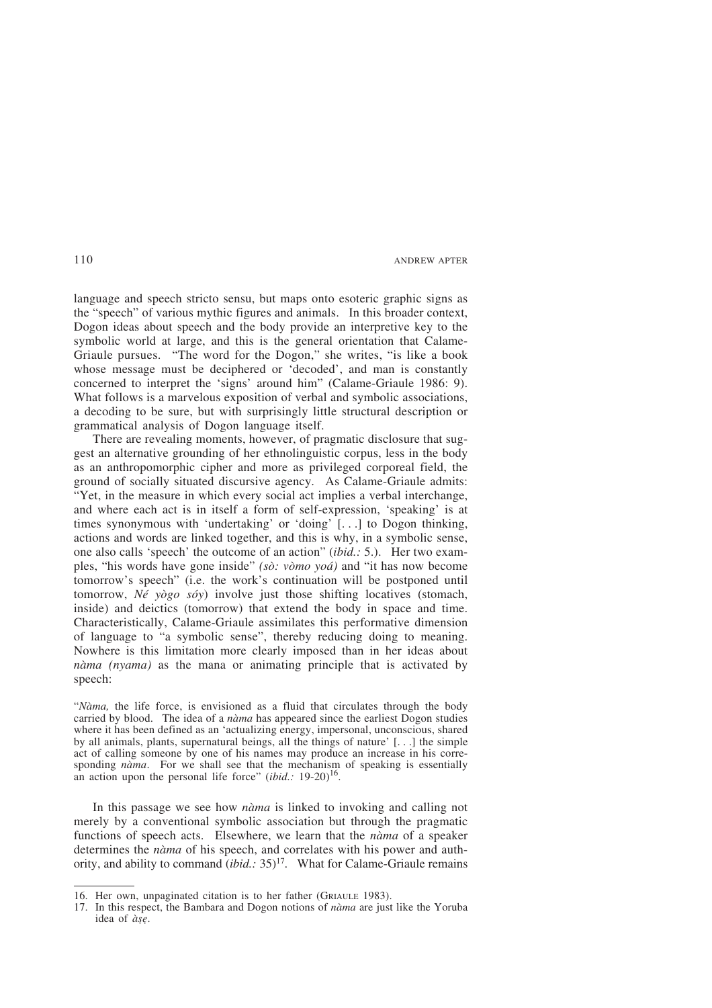language and speech stricto sensu, but maps onto esoteric graphic signs as the "speech" of various mythic figures and animals. In this broader context, Dogon ideas about speech and the body provide an interpretive key to the symbolic world at large, and this is the general orientation that Calame-Griaule pursues. "The word for the Dogon," she writes, "is like a book whose message must be deciphered or 'decoded', and man is constantly concerned to interpret the 'signs' around him" (Calame-Griaule 1986: 9). What follows is a marvelous exposition of verbal and symbolic associations, a decoding to be sure, but with surprisingly little structural description or grammatical analysis of Dogon language itself.

There are revealing moments, however, of pragmatic disclosure that suggest an alternative grounding of her ethnolinguistic corpus, less in the body as an anthropomorphic cipher and more as privileged corporeal field, the ground of socially situated discursive agency. As Calame-Griaule admits: "Yet, in the measure in which every social act implies a verbal interchange, and where each act is in itself a form of self-expression, 'speaking' is at times synonymous with 'undertaking' or 'doing' [. . .] to Dogon thinking, actions and words are linked together, and this is why, in a symbolic sense, one also calls 'speech' the outcome of an action" (*ibid.:* 5.). Her two examples, "his words have gone inside" *(so`: vo`mo yoa*́) and "it has now become tomorrow's speech" (i.e. the work's continuation will be postponed until tomorrow, *Né yògo sóy*) involve just those shifting locatives (stomach, inside) and deictics (tomorrow) that extend the body in space and time. Characteristically, Calame-Griaule assimilates this performative dimension of language to "a symbolic sense", thereby reducing doing to meaning. Nowhere is this limitation more clearly imposed than in her ideas about *nàma (nyama)* as the mana or animating principle that is activated by speech:

"*Nàma,* the life force, is envisioned as a fluid that circulates through the body carried by blood. The idea of a *nàma* has appeared since the earliest Dogon studies where it has been defined as an 'actualizing energy, impersonal, unconscious, shared by all animals, plants, supernatural beings, all the things of nature' [. . .] the simple act of calling someone by one of his names may produce an increase in his corresponding *nàma*. For we shall see that the mechanism of speaking is essentially an action upon the personal life force" (*ibid.*: 19-20)<sup>16</sup>.

In this passage we see how *nàma* is linked to invoking and calling not merely by a conventional symbolic association but through the pragmatic functions of speech acts. Elsewhere, we learn that the *nàma* of a speaker determines the *nàma* of his speech, and correlates with his power and authority, and ability to command  $(ibid.: 35)^{17}$ . What for Calame-Griaule remains

<sup>16.</sup> Her own, unpaginated citation is to her father (GRIAULE 1983).

<sup>17.</sup> In this respect, the Bambara and Dogon notions of *nàma* are just like the Yoruba idea of  $\partial \delta$ *ge*.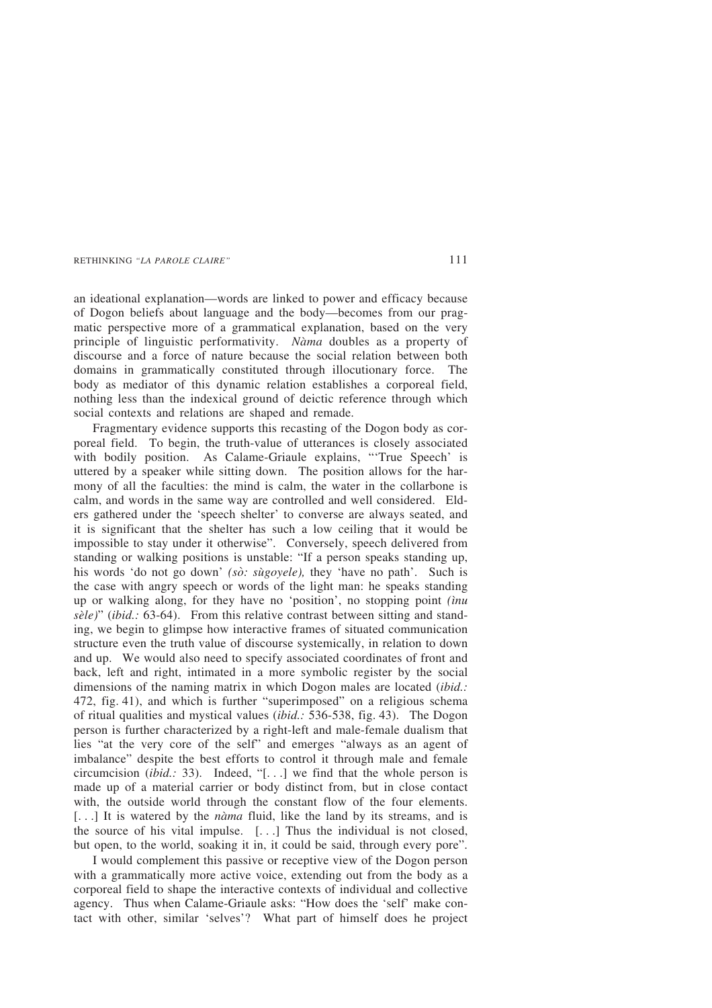an ideational explanation—words are linked to power and efficacy because of Dogon beliefs about language and the body—becomes from our pragmatic perspective more of a grammatical explanation, based on the very principle of linguistic performativity. *Nàma* doubles as a property of discourse and a force of nature because the social relation between both domains in grammatically constituted through illocutionary force. The body as mediator of this dynamic relation establishes a corporeal field, nothing less than the indexical ground of deictic reference through which social contexts and relations are shaped and remade.

Fragmentary evidence supports this recasting of the Dogon body as corporeal field. To begin, the truth-value of utterances is closely associated with bodily position. As Calame-Griaule explains, "True Speech' is uttered by a speaker while sitting down. The position allows for the harmony of all the faculties: the mind is calm, the water in the collarbone is calm, and words in the same way are controlled and well considered. Elders gathered under the 'speech shelter' to converse are always seated, and it is significant that the shelter has such a low ceiling that it would be impossible to stay under it otherwise". Conversely, speech delivered from standing or walking positions is unstable: "If a person speaks standing up, his words 'do not go down' *(so: sùgoyele)*, they 'have no path'. Such is the case with angry speech or words of the light man: he speaks standing up or walking along, for they have no 'position', no stopping point *(ı`nu sèle)*" (*ibid.:* 63-64). From this relative contrast between sitting and standing, we begin to glimpse how interactive frames of situated communication structure even the truth value of discourse systemically, in relation to down and up. We would also need to specify associated coordinates of front and back, left and right, intimated in a more symbolic register by the social dimensions of the naming matrix in which Dogon males are located (*ibid.:* 472, fig. 41), and which is further "superimposed" on a religious schema of ritual qualities and mystical values (*ibid.:* 536-538, fig. 43). The Dogon person is further characterized by a right-left and male-female dualism that lies "at the very core of the self" and emerges "always as an agent of imbalance" despite the best efforts to control it through male and female circumcision (*ibid.:* 33). Indeed, "[. . .] we find that the whole person is made up of a material carrier or body distinct from, but in close contact with, the outside world through the constant flow of the four elements. [. . .] It is watered by the *nàma* fluid, like the land by its streams, and is the source of his vital impulse.  $[...]$  Thus the individual is not closed, but open, to the world, soaking it in, it could be said, through every pore".

I would complement this passive or receptive view of the Dogon person with a grammatically more active voice, extending out from the body as a corporeal field to shape the interactive contexts of individual and collective agency. Thus when Calame-Griaule asks: "How does the 'self' make contact with other, similar 'selves'? What part of himself does he project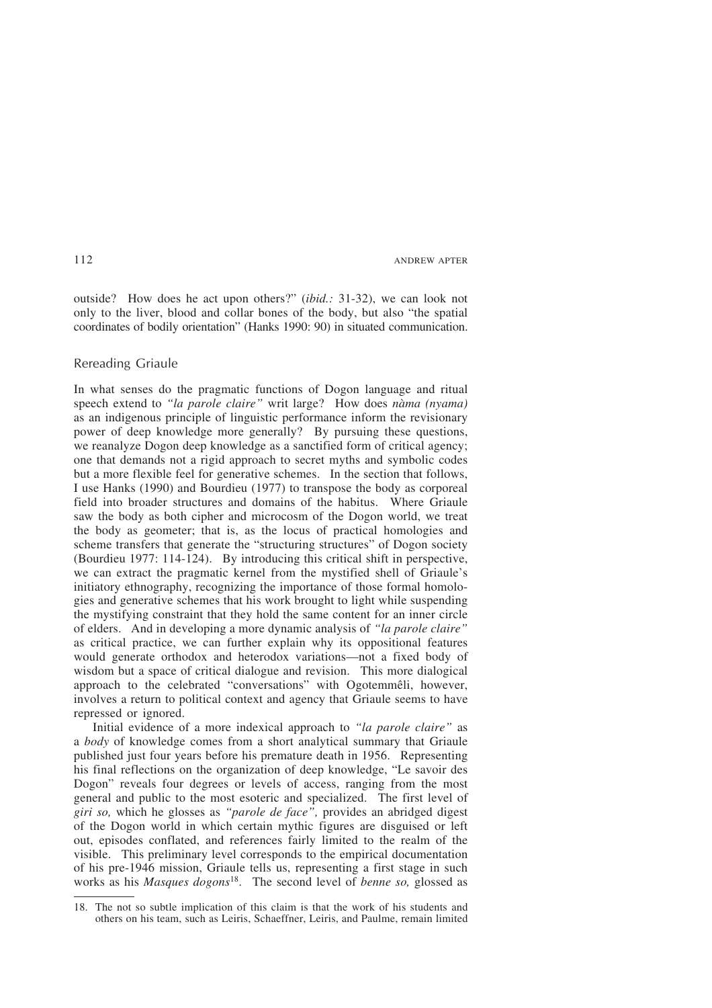outside? How does he act upon others?" (*ibid.:* 31-32), we can look not only to the liver, blood and collar bones of the body, but also "the spatial coordinates of bodily orientation" (Hanks 1990: 90) in situated communication.

# Rereading Griaule

In what senses do the pragmatic functions of Dogon language and ritual speech extend to *"la parole claire"* writ large? How does *nàma (nyama)* as an indigenous principle of linguistic performance inform the revisionary power of deep knowledge more generally? By pursuing these questions, we reanalyze Dogon deep knowledge as a sanctified form of critical agency; one that demands not a rigid approach to secret myths and symbolic codes but a more flexible feel for generative schemes. In the section that follows, I use Hanks (1990) and Bourdieu (1977) to transpose the body as corporeal field into broader structures and domains of the habitus. Where Griaule saw the body as both cipher and microcosm of the Dogon world, we treat the body as geometer; that is, as the locus of practical homologies and scheme transfers that generate the "structuring structures" of Dogon society (Bourdieu 1977: 114-124). By introducing this critical shift in perspective, we can extract the pragmatic kernel from the mystified shell of Griaule's initiatory ethnography, recognizing the importance of those formal homologies and generative schemes that his work brought to light while suspending the mystifying constraint that they hold the same content for an inner circle of elders. And in developing a more dynamic analysis of *"la parole claire"* as critical practice, we can further explain why its oppositional features would generate orthodox and heterodox variations—not a fixed body of wisdom but a space of critical dialogue and revision. This more dialogical approach to the celebrated "conversations" with Ogotemmêli, however, involves a return to political context and agency that Griaule seems to have repressed or ignored.

Initial evidence of a more indexical approach to *"la parole claire"* as a *body* of knowledge comes from a short analytical summary that Griaule published just four years before his premature death in 1956. Representing his final reflections on the organization of deep knowledge, "Le savoir des Dogon" reveals four degrees or levels of access, ranging from the most general and public to the most esoteric and specialized. The first level of *giri so,* which he glosses as *"parole de face",* provides an abridged digest of the Dogon world in which certain mythic figures are disguised or left out, episodes conflated, and references fairly limited to the realm of the visible. This preliminary level corresponds to the empirical documentation of his pre-1946 mission, Griaule tells us, representing a first stage in such works as his *Masques dogons*18. The second level of *benne so,* glossed as

<sup>18.</sup> The not so subtle implication of this claim is that the work of his students and others on his team, such as Leiris, Schaeffner, Leiris, and Paulme, remain limited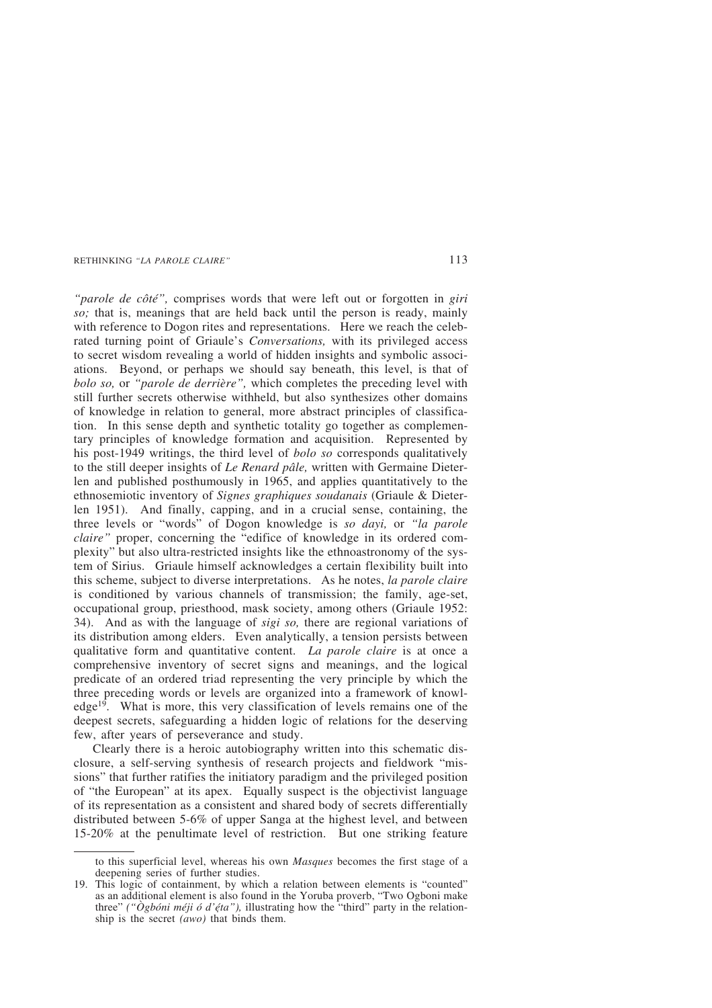*"parole de côté",* comprises words that were left out or forgotten in *giri so;* that is, meanings that are held back until the person is ready, mainly with reference to Dogon rites and representations. Here we reach the celebrated turning point of Griaule's *Conversations,* with its privileged access to secret wisdom revealing a world of hidden insights and symbolic associations. Beyond, or perhaps we should say beneath, this level, is that of *bolo so,* or *"parole de derrière",* which completes the preceding level with still further secrets otherwise withheld, but also synthesizes other domains of knowledge in relation to general, more abstract principles of classification. In this sense depth and synthetic totality go together as complementary principles of knowledge formation and acquisition. Represented by his post-1949 writings, the third level of *bolo so* corresponds qualitatively to the still deeper insights of *Le Renard pâle,* written with Germaine Dieterlen and published posthumously in 1965, and applies quantitatively to the ethnosemiotic inventory of *Signes graphiques soudanais* (Griaule & Dieterlen 1951). And finally, capping, and in a crucial sense, containing, the three levels or "words" of Dogon knowledge is *so dayi,* or *"la parole claire"* proper, concerning the "edifice of knowledge in its ordered complexity" but also ultra-restricted insights like the ethnoastronomy of the system of Sirius. Griaule himself acknowledges a certain flexibility built into this scheme, subject to diverse interpretations. As he notes, *la parole claire* is conditioned by various channels of transmission; the family, age-set, occupational group, priesthood, mask society, among others (Griaule 1952: 34). And as with the language of *sigi so,* there are regional variations of its distribution among elders. Even analytically, a tension persists between qualitative form and quantitative content. *La parole claire* is at once a comprehensive inventory of secret signs and meanings, and the logical predicate of an ordered triad representing the very principle by which the three preceding words or levels are organized into a framework of knowledge19. What is more, this very classification of levels remains one of the deepest secrets, safeguarding a hidden logic of relations for the deserving few, after years of perseverance and study.

Clearly there is a heroic autobiography written into this schematic disclosure, a self-serving synthesis of research projects and fieldwork "missions" that further ratifies the initiatory paradigm and the privileged position of "the European" at its apex. Equally suspect is the objectivist language of its representation as a consistent and shared body of secrets differentially distributed between 5-6% of upper Sanga at the highest level, and between 15-20% at the penultimate level of restriction. But one striking feature

to this superficial level, whereas his own *Masques* becomes the first stage of a deepening series of further studies.

<sup>19.</sup> This logic of containment, by which a relation between elements is "counted" as an additional element is also found in the Yoruba proverb, "Two Ogboni make three" *("Ogbóni méji ó d'éta")*, illustrating how the "third" party in the relationship is the secret *(awo)* that binds them.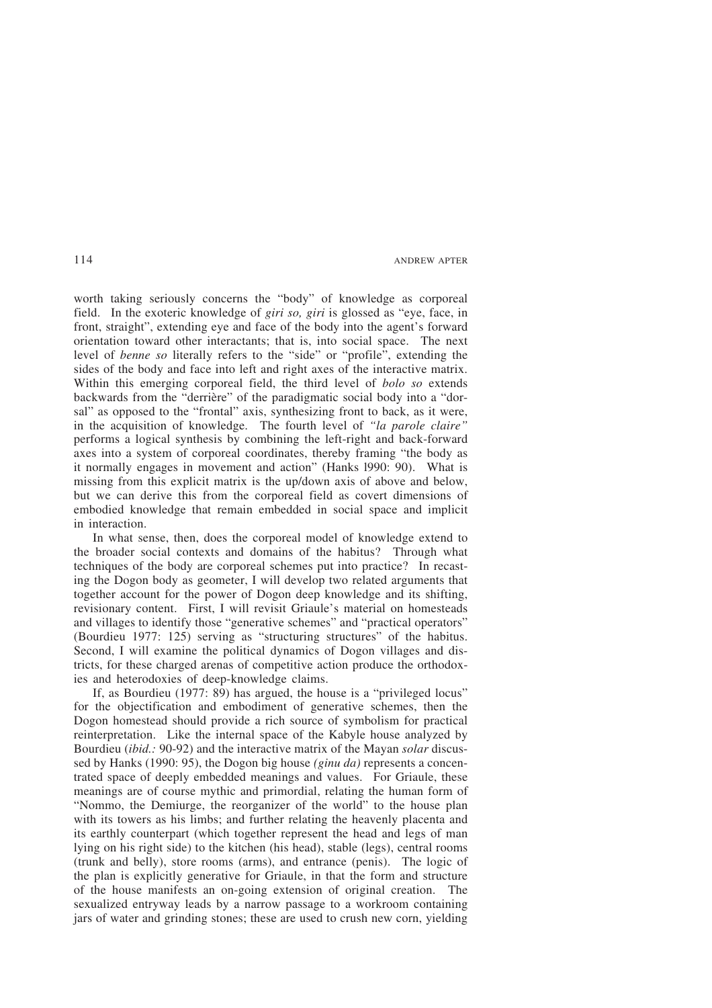worth taking seriously concerns the "body" of knowledge as corporeal field. In the exoteric knowledge of *giri so, giri* is glossed as "eye, face, in front, straight", extending eye and face of the body into the agent's forward orientation toward other interactants; that is, into social space. The next level of *benne so* literally refers to the "side" or "profile", extending the sides of the body and face into left and right axes of the interactive matrix. Within this emerging corporeal field, the third level of *bolo so* extends backwards from the "derrière" of the paradigmatic social body into a "dorsal" as opposed to the "frontal" axis, synthesizing front to back, as it were, in the acquisition of knowledge. The fourth level of *"la parole claire"* performs a logical synthesis by combining the left-right and back-forward axes into a system of corporeal coordinates, thereby framing "the body as it normally engages in movement and action" (Hanks l990: 90). What is missing from this explicit matrix is the up/down axis of above and below, but we can derive this from the corporeal field as covert dimensions of embodied knowledge that remain embedded in social space and implicit in interaction.

In what sense, then, does the corporeal model of knowledge extend to the broader social contexts and domains of the habitus? Through what techniques of the body are corporeal schemes put into practice? In recasting the Dogon body as geometer, I will develop two related arguments that together account for the power of Dogon deep knowledge and its shifting, revisionary content. First, I will revisit Griaule's material on homesteads and villages to identify those "generative schemes" and "practical operators" (Bourdieu 1977: 125) serving as "structuring structures" of the habitus. Second, I will examine the political dynamics of Dogon villages and districts, for these charged arenas of competitive action produce the orthodoxies and heterodoxies of deep-knowledge claims.

If, as Bourdieu (1977: 89) has argued, the house is a "privileged locus" for the objectification and embodiment of generative schemes, then the Dogon homestead should provide a rich source of symbolism for practical reinterpretation. Like the internal space of the Kabyle house analyzed by Bourdieu (*ibid.:* 90-92) and the interactive matrix of the Mayan *solar* discussed by Hanks (1990: 95), the Dogon big house *(ginu da)* represents a concentrated space of deeply embedded meanings and values. For Griaule, these meanings are of course mythic and primordial, relating the human form of "Nommo, the Demiurge, the reorganizer of the world" to the house plan with its towers as his limbs; and further relating the heavenly placenta and its earthly counterpart (which together represent the head and legs of man lying on his right side) to the kitchen (his head), stable (legs), central rooms (trunk and belly), store rooms (arms), and entrance (penis). The logic of the plan is explicitly generative for Griaule, in that the form and structure of the house manifests an on-going extension of original creation. The sexualized entryway leads by a narrow passage to a workroom containing jars of water and grinding stones; these are used to crush new corn, yielding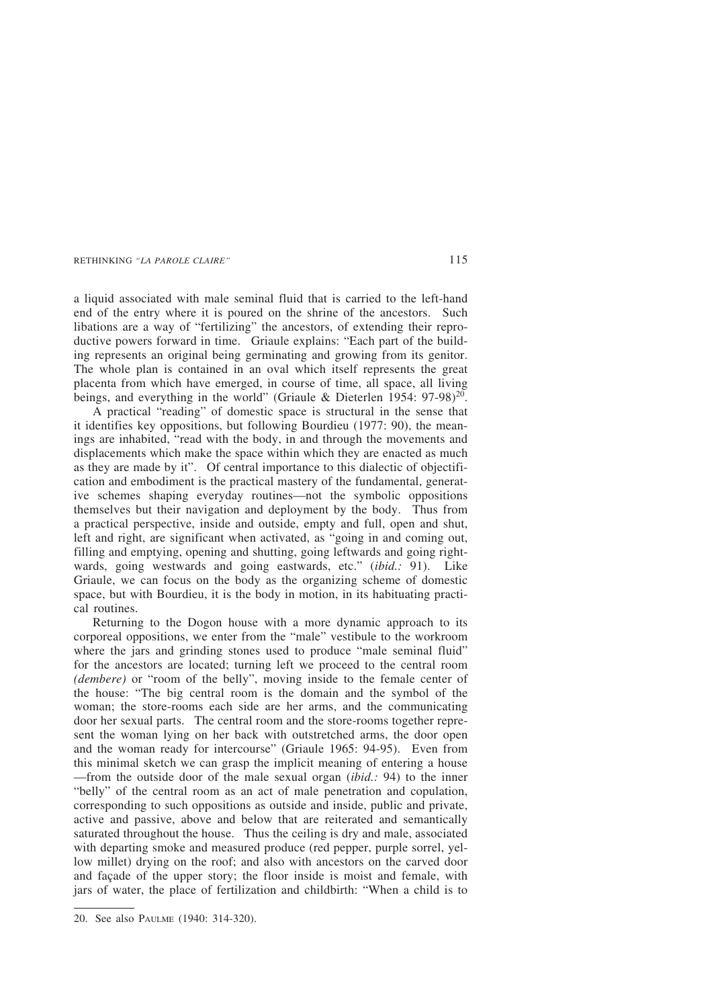a liquid associated with male seminal fluid that is carried to the left-hand end of the entry where it is poured on the shrine of the ancestors. Such libations are a way of "fertilizing" the ancestors, of extending their reproductive powers forward in time. Griaule explains: "Each part of the building represents an original being germinating and growing from its genitor. The whole plan is contained in an oval which itself represents the great placenta from which have emerged, in course of time, all space, all living beings, and everything in the world" (Griaule & Dieterlen 1954: 97-98)<sup>20</sup>.

A practical "reading" of domestic space is structural in the sense that it identifies key oppositions, but following Bourdieu (1977: 90), the meanings are inhabited, "read with the body, in and through the movements and displacements which make the space within which they are enacted as much as they are made by it". Of central importance to this dialectic of objectification and embodiment is the practical mastery of the fundamental, generative schemes shaping everyday routines—not the symbolic oppositions themselves but their navigation and deployment by the body. Thus from a practical perspective, inside and outside, empty and full, open and shut, left and right, are significant when activated, as "going in and coming out, filling and emptying, opening and shutting, going leftwards and going rightwards, going westwards and going eastwards, etc." (*ibid.:* 91). Like Griaule, we can focus on the body as the organizing scheme of domestic space, but with Bourdieu, it is the body in motion, in its habituating practical routines.

Returning to the Dogon house with a more dynamic approach to its corporeal oppositions, we enter from the "male" vestibule to the workroom where the jars and grinding stones used to produce "male seminal fluid" for the ancestors are located; turning left we proceed to the central room *(dembere)* or "room of the belly", moving inside to the female center of the house: "The big central room is the domain and the symbol of the woman; the store-rooms each side are her arms, and the communicating door her sexual parts. The central room and the store-rooms together represent the woman lying on her back with outstretched arms, the door open and the woman ready for intercourse" (Griaule 1965: 94-95). Even from this minimal sketch we can grasp the implicit meaning of entering a house —from the outside door of the male sexual organ (*ibid.:* 94) to the inner "belly" of the central room as an act of male penetration and copulation, corresponding to such oppositions as outside and inside, public and private, active and passive, above and below that are reiterated and semantically saturated throughout the house. Thus the ceiling is dry and male, associated with departing smoke and measured produce (red pepper, purple sorrel, yellow millet) drying on the roof; and also with ancestors on the carved door and façade of the upper story; the floor inside is moist and female, with jars of water, the place of fertilization and childbirth: "When a child is to

<sup>20.</sup> See also PAULME (1940: 314-320).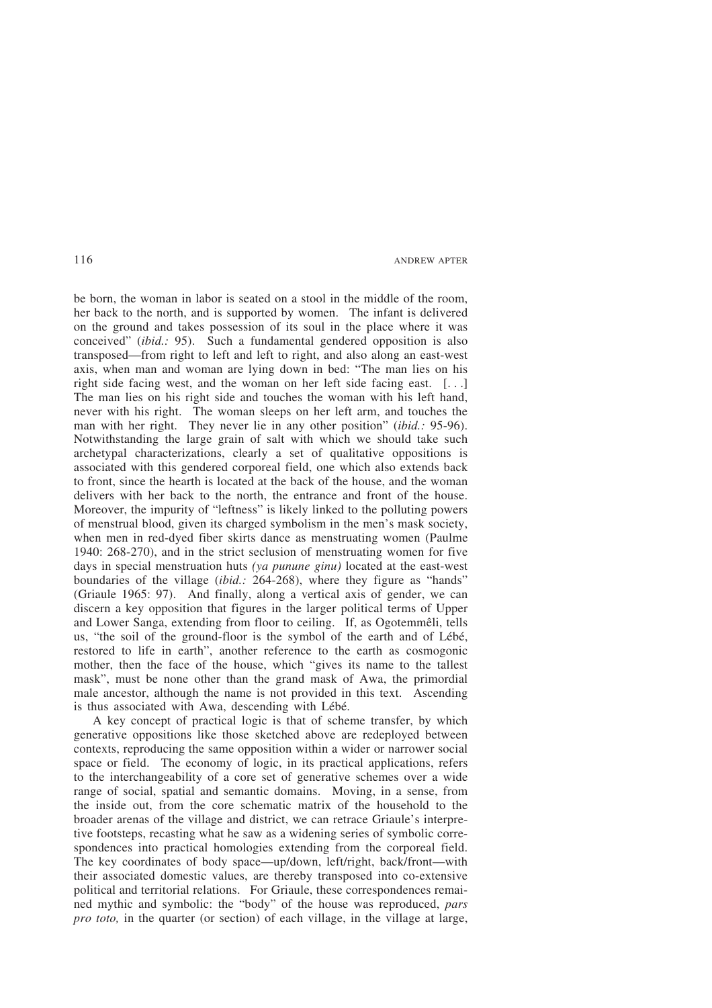be born, the woman in labor is seated on a stool in the middle of the room, her back to the north, and is supported by women. The infant is delivered on the ground and takes possession of its soul in the place where it was conceived" (*ibid.:* 95). Such a fundamental gendered opposition is also transposed—from right to left and left to right, and also along an east-west axis, when man and woman are lying down in bed: "The man lies on his right side facing west, and the woman on her left side facing east. [. . .] The man lies on his right side and touches the woman with his left hand, never with his right. The woman sleeps on her left arm, and touches the man with her right. They never lie in any other position" (*ibid.:* 95-96). Notwithstanding the large grain of salt with which we should take such archetypal characterizations, clearly a set of qualitative oppositions is associated with this gendered corporeal field, one which also extends back to front, since the hearth is located at the back of the house, and the woman delivers with her back to the north, the entrance and front of the house. Moreover, the impurity of "leftness" is likely linked to the polluting powers of menstrual blood, given its charged symbolism in the men's mask society, when men in red-dyed fiber skirts dance as menstruating women (Paulme 1940: 268-270), and in the strict seclusion of menstruating women for five days in special menstruation huts *(ya punune ginu)* located at the east-west boundaries of the village (*ibid.:* 264-268), where they figure as "hands" (Griaule 1965: 97). And finally, along a vertical axis of gender, we can discern a key opposition that figures in the larger political terms of Upper and Lower Sanga, extending from floor to ceiling. If, as Ogotemmêli, tells us, "the soil of the ground-floor is the symbol of the earth and of Lébé, restored to life in earth", another reference to the earth as cosmogonic mother, then the face of the house, which "gives its name to the tallest mask", must be none other than the grand mask of Awa, the primordial male ancestor, although the name is not provided in this text. Ascending is thus associated with Awa, descending with Lébé.

A key concept of practical logic is that of scheme transfer, by which generative oppositions like those sketched above are redeployed between contexts, reproducing the same opposition within a wider or narrower social space or field. The economy of logic, in its practical applications, refers to the interchangeability of a core set of generative schemes over a wide range of social, spatial and semantic domains. Moving, in a sense, from the inside out, from the core schematic matrix of the household to the broader arenas of the village and district, we can retrace Griaule's interpretive footsteps, recasting what he saw as a widening series of symbolic correspondences into practical homologies extending from the corporeal field. The key coordinates of body space—up/down, left/right, back/front—with their associated domestic values, are thereby transposed into co-extensive political and territorial relations. For Griaule, these correspondences remained mythic and symbolic: the "body" of the house was reproduced, *pars pro toto,* in the quarter (or section) of each village, in the village at large,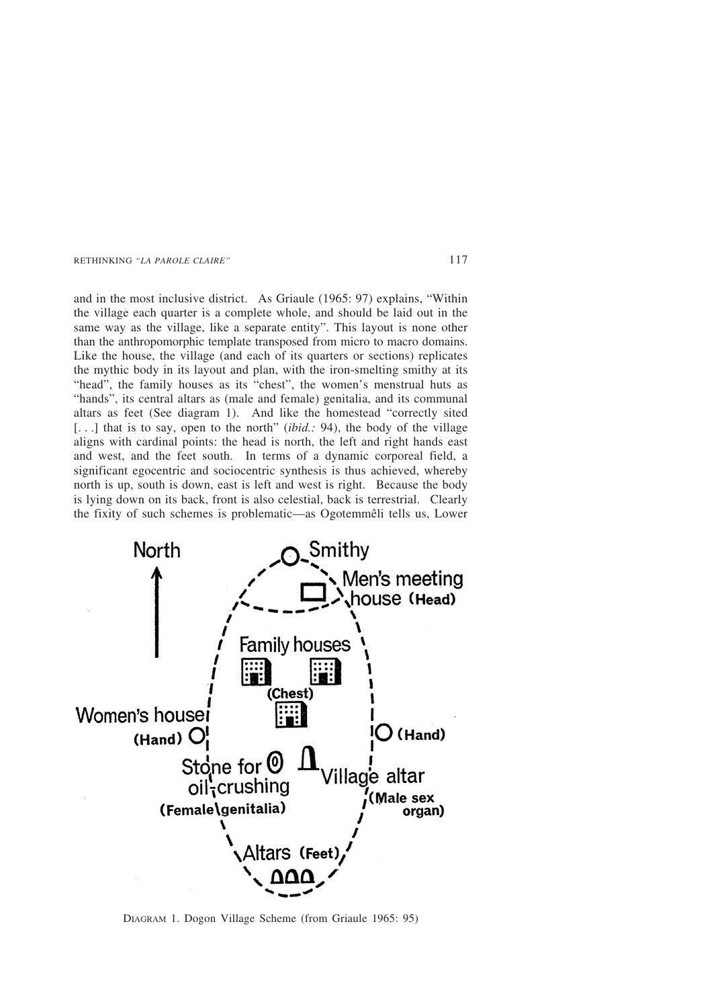and in the most inclusive district. As Griaule (1965: 97) explains, "Within the village each quarter is a complete whole, and should be laid out in the same way as the village, like a separate entity". This layout is none other than the anthropomorphic template transposed from micro to macro domains. Like the house, the village (and each of its quarters or sections) replicates the mythic body in its layout and plan, with the iron-smelting smithy at its "head", the family houses as its "chest", the women's menstrual huts as "hands", its central altars as (male and female) genitalia, and its communal altars as feet (See diagram 1). And like the homestead "correctly sited [...] that is to say, open to the north" *(ibid.:* 94), the body of the village aligns with cardinal points: the head is north, the left and right hands east and west, and the feet south. In terms of a dynamic corporeal field, a significant egocentric and sociocentric synthesis is thus achieved, whereby north is up, south is down, east is left and west is right. Because the body is lying down on its back, front is also celestial, back is terrestrial. Clearly the fixity of such schemes is problematic—as Ogotemmêli tells us, Lower



DIAGRAM 1. Dogon Village Scheme (from Griaule 1965: 95)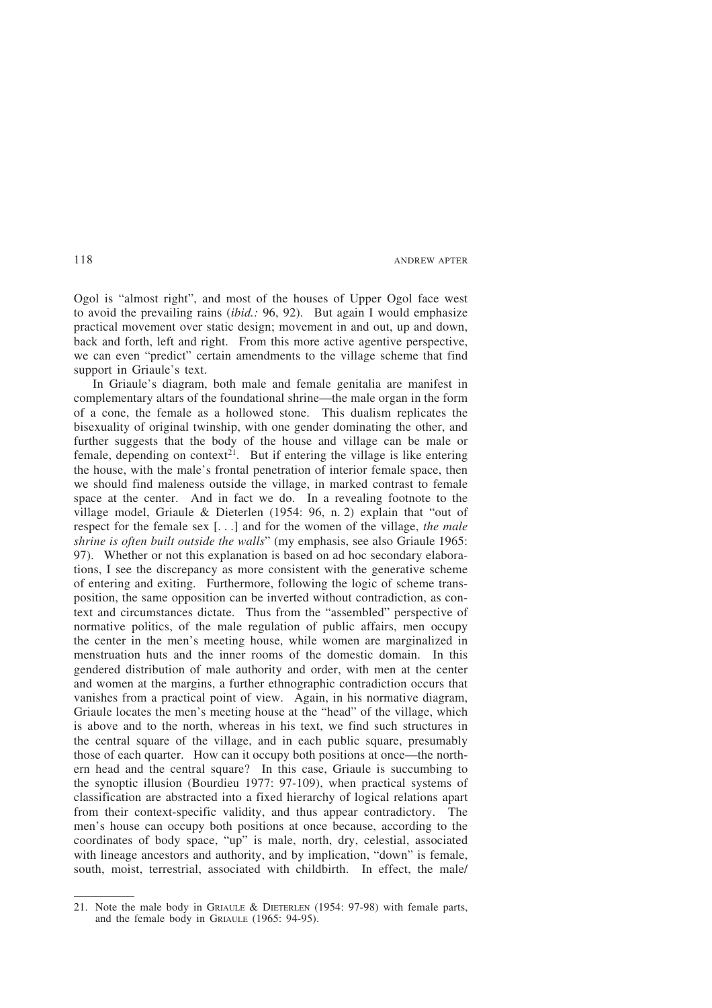Ogol is "almost right", and most of the houses of Upper Ogol face west to avoid the prevailing rains (*ibid.:* 96, 92). But again I would emphasize practical movement over static design; movement in and out, up and down, back and forth, left and right. From this more active agentive perspective, we can even "predict" certain amendments to the village scheme that find support in Griaule's text.

In Griaule's diagram, both male and female genitalia are manifest in complementary altars of the foundational shrine—the male organ in the form of a cone, the female as a hollowed stone. This dualism replicates the bisexuality of original twinship, with one gender dominating the other, and further suggests that the body of the house and village can be male or female, depending on context<sup>21</sup>. But if entering the village is like entering the house, with the male's frontal penetration of interior female space, then we should find maleness outside the village, in marked contrast to female space at the center. And in fact we do. In a revealing footnote to the village model, Griaule & Dieterlen (1954: 96, n. 2) explain that "out of respect for the female sex [. . .] and for the women of the village, *the male shrine is often built outside the walls*" (my emphasis, see also Griaule 1965: 97). Whether or not this explanation is based on ad hoc secondary elaborations, I see the discrepancy as more consistent with the generative scheme of entering and exiting. Furthermore, following the logic of scheme transposition, the same opposition can be inverted without contradiction, as context and circumstances dictate. Thus from the "assembled" perspective of normative politics, of the male regulation of public affairs, men occupy the center in the men's meeting house, while women are marginalized in menstruation huts and the inner rooms of the domestic domain. In this gendered distribution of male authority and order, with men at the center and women at the margins, a further ethnographic contradiction occurs that vanishes from a practical point of view. Again, in his normative diagram, Griaule locates the men's meeting house at the "head" of the village, which is above and to the north, whereas in his text, we find such structures in the central square of the village, and in each public square, presumably those of each quarter. How can it occupy both positions at once—the northern head and the central square? In this case, Griaule is succumbing to the synoptic illusion (Bourdieu 1977: 97-109), when practical systems of classification are abstracted into a fixed hierarchy of logical relations apart from their context-specific validity, and thus appear contradictory. The men's house can occupy both positions at once because, according to the coordinates of body space, "up" is male, north, dry, celestial, associated with lineage ancestors and authority, and by implication, "down" is female, south, moist, terrestrial, associated with childbirth. In effect, the male/

<sup>21.</sup> Note the male body in GRIAULE & DIETERLEN (1954: 97-98) with female parts, and the female body in GRIAULE (1965: 94-95).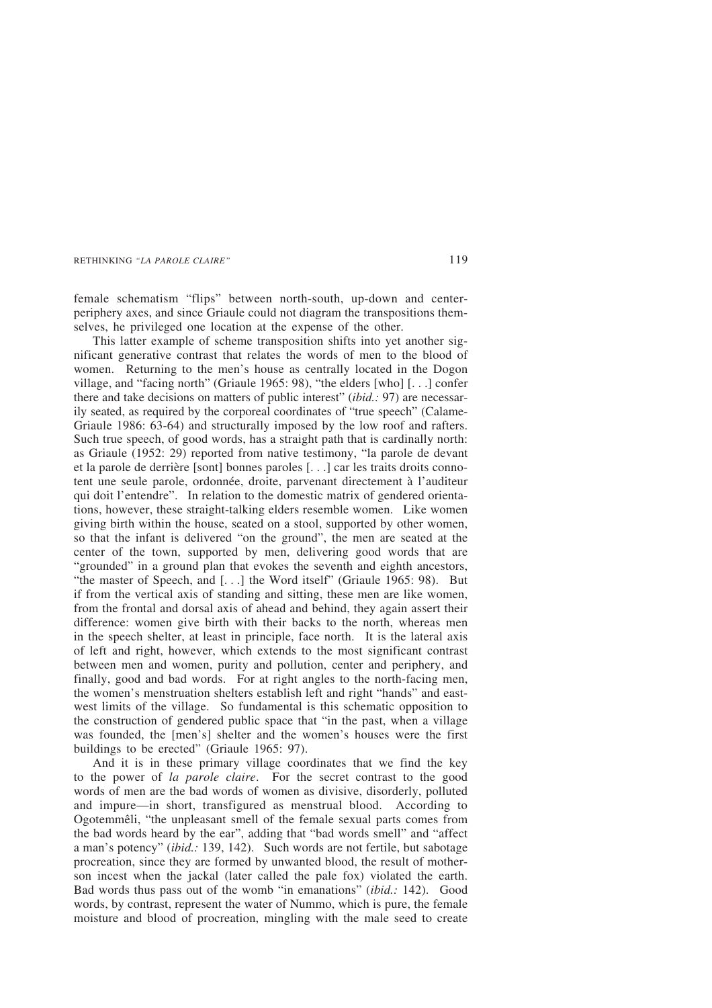female schematism "flips" between north-south, up-down and centerperiphery axes, and since Griaule could not diagram the transpositions themselves, he privileged one location at the expense of the other.

This latter example of scheme transposition shifts into yet another significant generative contrast that relates the words of men to the blood of women. Returning to the men's house as centrally located in the Dogon village, and "facing north" (Griaule 1965: 98), "the elders [who] [. . .] confer there and take decisions on matters of public interest" (*ibid.:* 97) are necessarily seated, as required by the corporeal coordinates of "true speech" (Calame-Griaule 1986: 63-64) and structurally imposed by the low roof and rafters. Such true speech, of good words, has a straight path that is cardinally north: as Griaule (1952: 29) reported from native testimony, "la parole de devant et la parole de derrière [sont] bonnes paroles [. . .] car les traits droits connotent une seule parole, ordonnée, droite, parvenant directement à l'auditeur qui doit l'entendre". In relation to the domestic matrix of gendered orientations, however, these straight-talking elders resemble women. Like women giving birth within the house, seated on a stool, supported by other women, so that the infant is delivered "on the ground", the men are seated at the center of the town, supported by men, delivering good words that are "grounded" in a ground plan that evokes the seventh and eighth ancestors, "the master of Speech, and [. . .] the Word itself" (Griaule 1965: 98). But if from the vertical axis of standing and sitting, these men are like women, from the frontal and dorsal axis of ahead and behind, they again assert their difference: women give birth with their backs to the north, whereas men in the speech shelter, at least in principle, face north. It is the lateral axis of left and right, however, which extends to the most significant contrast between men and women, purity and pollution, center and periphery, and finally, good and bad words. For at right angles to the north-facing men, the women's menstruation shelters establish left and right "hands" and eastwest limits of the village. So fundamental is this schematic opposition to the construction of gendered public space that "in the past, when a village was founded, the [men's] shelter and the women's houses were the first buildings to be erected" (Griaule 1965: 97).

And it is in these primary village coordinates that we find the key to the power of *la parole claire*. For the secret contrast to the good words of men are the bad words of women as divisive, disorderly, polluted and impure—in short, transfigured as menstrual blood. According to Ogotemmêli, "the unpleasant smell of the female sexual parts comes from the bad words heard by the ear", adding that "bad words smell" and "affect a man's potency" (*ibid.:* 139, 142). Such words are not fertile, but sabotage procreation, since they are formed by unwanted blood, the result of motherson incest when the jackal (later called the pale fox) violated the earth. Bad words thus pass out of the womb "in emanations" (*ibid.:* 142). Good words, by contrast, represent the water of Nummo, which is pure, the female moisture and blood of procreation, mingling with the male seed to create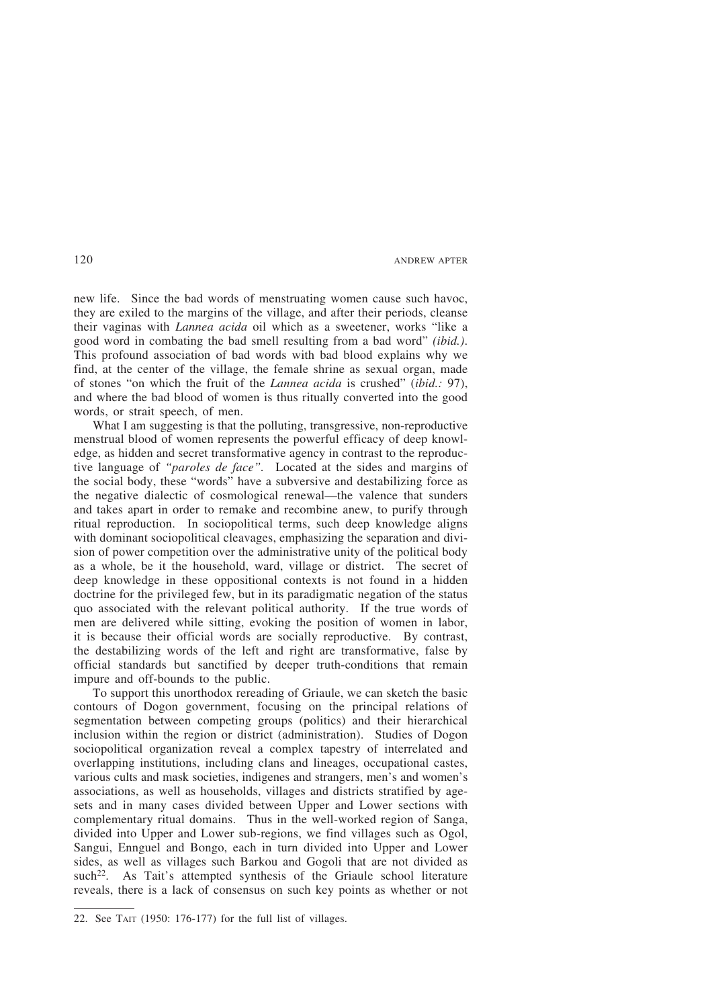new life. Since the bad words of menstruating women cause such havoc, they are exiled to the margins of the village, and after their periods, cleanse their vaginas with *Lannea acida* oil which as a sweetener, works "like a good word in combating the bad smell resulting from a bad word" *(ibid.)*. This profound association of bad words with bad blood explains why we find, at the center of the village, the female shrine as sexual organ, made of stones "on which the fruit of the *Lannea acida* is crushed" (*ibid.:* 97), and where the bad blood of women is thus ritually converted into the good words, or strait speech, of men.

What I am suggesting is that the polluting, transgressive, non-reproductive menstrual blood of women represents the powerful efficacy of deep knowledge, as hidden and secret transformative agency in contrast to the reproductive language of *"paroles de face".* Located at the sides and margins of the social body, these "words" have a subversive and destabilizing force as the negative dialectic of cosmological renewal—the valence that sunders and takes apart in order to remake and recombine anew, to purify through ritual reproduction. In sociopolitical terms, such deep knowledge aligns with dominant sociopolitical cleavages, emphasizing the separation and division of power competition over the administrative unity of the political body as a whole, be it the household, ward, village or district. The secret of deep knowledge in these oppositional contexts is not found in a hidden doctrine for the privileged few, but in its paradigmatic negation of the status quo associated with the relevant political authority. If the true words of men are delivered while sitting, evoking the position of women in labor, it is because their official words are socially reproductive. By contrast, the destabilizing words of the left and right are transformative, false by official standards but sanctified by deeper truth-conditions that remain impure and off-bounds to the public.

To support this unorthodox rereading of Griaule, we can sketch the basic contours of Dogon government, focusing on the principal relations of segmentation between competing groups (politics) and their hierarchical inclusion within the region or district (administration). Studies of Dogon sociopolitical organization reveal a complex tapestry of interrelated and overlapping institutions, including clans and lineages, occupational castes, various cults and mask societies, indigenes and strangers, men's and women's associations, as well as households, villages and districts stratified by agesets and in many cases divided between Upper and Lower sections with complementary ritual domains. Thus in the well-worked region of Sanga, divided into Upper and Lower sub-regions, we find villages such as Ogol, Sangui, Ennguel and Bongo, each in turn divided into Upper and Lower sides, as well as villages such Barkou and Gogoli that are not divided as such<sup>22</sup>. As Tait's attempted synthesis of the Griaule school literature reveals, there is a lack of consensus on such key points as whether or not

<sup>22.</sup> See TAIT (1950: 176-177) for the full list of villages.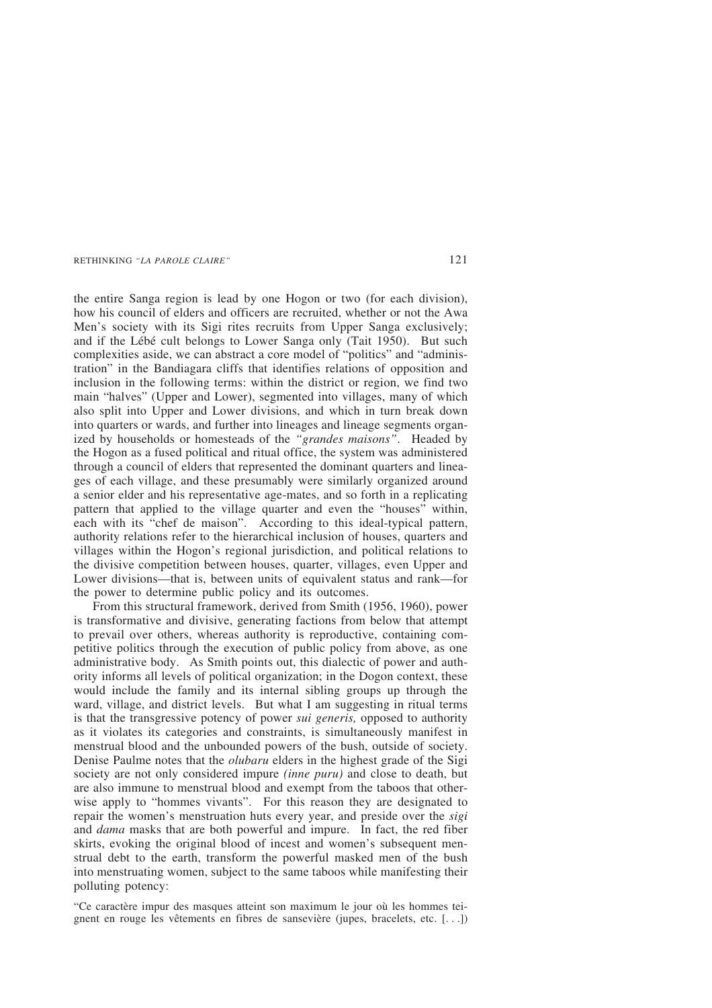the entire Sanga region is lead by one Hogon or two (for each division), how his council of elders and officers are recruited, whether or not the Awa Men's society with its Sigi rites recruits from Upper Sanga exclusively; and if the Lébé cult belongs to Lower Sanga only (Tait 1950). But such complexities aside, we can abstract a core model of "politics" and "administration" in the Bandiagara cliffs that identifies relations of opposition and inclusion in the following terms: within the district or region, we find two main "halves" (Upper and Lower), segmented into villages, many of which also split into Upper and Lower divisions, and which in turn break down into quarters or wards, and further into lineages and lineage segments organized by households or homesteads of the *"grandes maisons"*. Headed by the Hogon as a fused political and ritual office, the system was administered through a council of elders that represented the dominant quarters and lineages of each village, and these presumably were similarly organized around a senior elder and his representative age-mates, and so forth in a replicating pattern that applied to the village quarter and even the "houses" within, each with its "chef de maison". According to this ideal-typical pattern, authority relations refer to the hierarchical inclusion of houses, quarters and villages within the Hogon's regional jurisdiction, and political relations to the divisive competition between houses, quarter, villages, even Upper and Lower divisions—that is, between units of equivalent status and rank—for the power to determine public policy and its outcomes.

From this structural framework, derived from Smith (1956, 1960), power is transformative and divisive, generating factions from below that attempt to prevail over others, whereas authority is reproductive, containing competitive politics through the execution of public policy from above, as one administrative body. As Smith points out, this dialectic of power and authority informs all levels of political organization; in the Dogon context, these would include the family and its internal sibling groups up through the ward, village, and district levels. But what I am suggesting in ritual terms is that the transgressive potency of power *sui generis,* opposed to authority as it violates its categories and constraints, is simultaneously manifest in menstrual blood and the unbounded powers of the bush, outside of society. Denise Paulme notes that the *olubaru* elders in the highest grade of the Sigi society are not only considered impure *(inne puru)* and close to death, but are also immune to menstrual blood and exempt from the taboos that otherwise apply to "hommes vivants". For this reason they are designated to repair the women's menstruation huts every year, and preside over the *sigi* and *dama* masks that are both powerful and impure. In fact, the red fiber skirts, evoking the original blood of incest and women's subsequent menstrual debt to the earth, transform the powerful masked men of the bush into menstruating women, subject to the same taboos while manifesting their polluting potency:

"Ce caractère impur des masques atteint son maximum le jour où les hommes teignent en rouge les vêtements en fibres de sansevière (jupes, bracelets, etc. [. . .])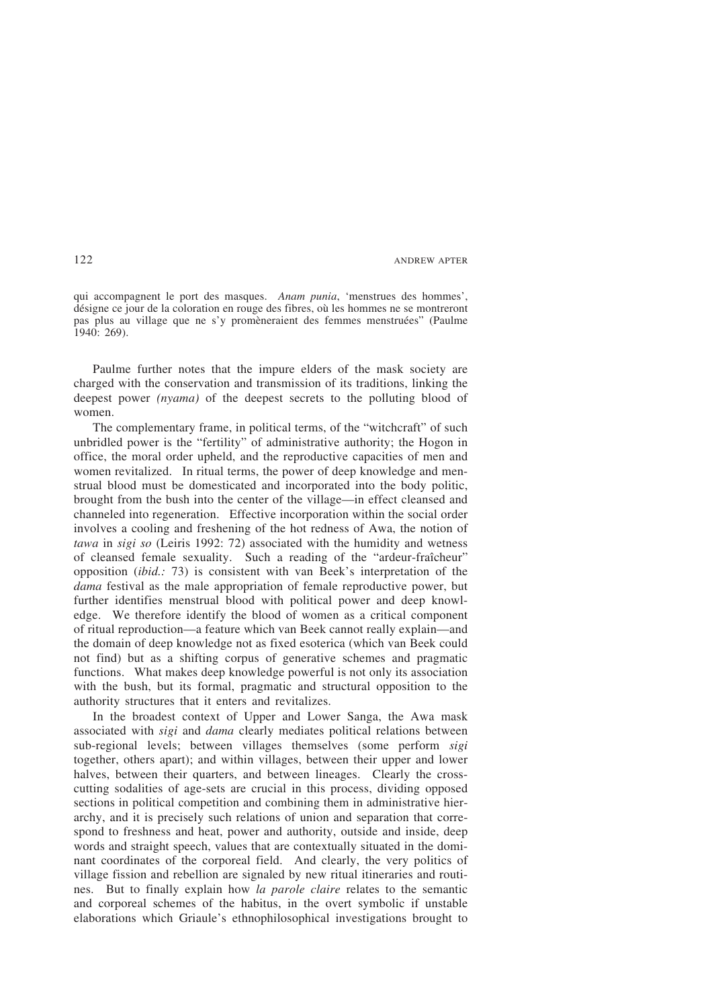qui accompagnent le port des masques. *Anam punia*, 'menstrues des hommes', désigne ce jour de la coloration en rouge des fibres, où les hommes ne se montreront pas plus au village que ne s'y promèneraient des femmes menstruées" (Paulme  $1940:269$ .

Paulme further notes that the impure elders of the mask society are charged with the conservation and transmission of its traditions, linking the deepest power *(nyama)* of the deepest secrets to the polluting blood of women.

The complementary frame, in political terms, of the "witchcraft" of such unbridled power is the "fertility" of administrative authority; the Hogon in office, the moral order upheld, and the reproductive capacities of men and women revitalized. In ritual terms, the power of deep knowledge and menstrual blood must be domesticated and incorporated into the body politic, brought from the bush into the center of the village—in effect cleansed and channeled into regeneration. Effective incorporation within the social order involves a cooling and freshening of the hot redness of Awa, the notion of *tawa* in *sigi so* (Leiris 1992: 72) associated with the humidity and wetness of cleansed female sexuality. Such a reading of the "ardeur-fraîcheur" opposition (*ibid.:* 73) is consistent with van Beek's interpretation of the *dama* festival as the male appropriation of female reproductive power, but further identifies menstrual blood with political power and deep knowledge. We therefore identify the blood of women as a critical component of ritual reproduction—a feature which van Beek cannot really explain—and the domain of deep knowledge not as fixed esoterica (which van Beek could not find) but as a shifting corpus of generative schemes and pragmatic functions. What makes deep knowledge powerful is not only its association with the bush, but its formal, pragmatic and structural opposition to the authority structures that it enters and revitalizes.

In the broadest context of Upper and Lower Sanga, the Awa mask associated with *sigi* and *dama* clearly mediates political relations between sub-regional levels; between villages themselves (some perform *sigi* together, others apart); and within villages, between their upper and lower halves, between their quarters, and between lineages. Clearly the crosscutting sodalities of age-sets are crucial in this process, dividing opposed sections in political competition and combining them in administrative hierarchy, and it is precisely such relations of union and separation that correspond to freshness and heat, power and authority, outside and inside, deep words and straight speech, values that are contextually situated in the dominant coordinates of the corporeal field. And clearly, the very politics of village fission and rebellion are signaled by new ritual itineraries and routines. But to finally explain how *la parole claire* relates to the semantic and corporeal schemes of the habitus, in the overt symbolic if unstable elaborations which Griaule's ethnophilosophical investigations brought to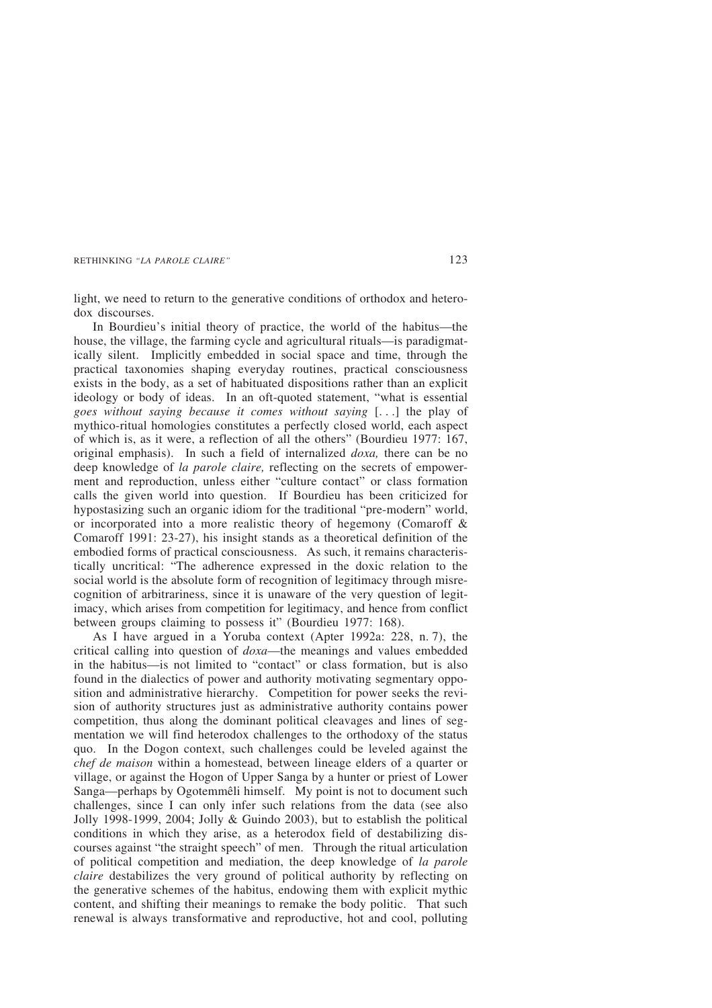light, we need to return to the generative conditions of orthodox and heterodox discourses.

In Bourdieu's initial theory of practice, the world of the habitus—the house, the village, the farming cycle and agricultural rituals—is paradigmatically silent. Implicitly embedded in social space and time, through the practical taxonomies shaping everyday routines, practical consciousness exists in the body, as a set of habituated dispositions rather than an explicit ideology or body of ideas. In an oft-quoted statement, "what is essential *goes without saying because it comes without saying* [. . .] the play of mythico-ritual homologies constitutes a perfectly closed world, each aspect of which is, as it were, a reflection of all the others" (Bourdieu 1977: 167, original emphasis). In such a field of internalized *doxa,* there can be no deep knowledge of *la parole claire,* reflecting on the secrets of empowerment and reproduction, unless either "culture contact" or class formation calls the given world into question. If Bourdieu has been criticized for hypostasizing such an organic idiom for the traditional "pre-modern" world, or incorporated into a more realistic theory of hegemony (Comaroff & Comaroff 1991: 23-27), his insight stands as a theoretical definition of the embodied forms of practical consciousness. As such, it remains characteristically uncritical: "The adherence expressed in the doxic relation to the social world is the absolute form of recognition of legitimacy through misrecognition of arbitrariness, since it is unaware of the very question of legitimacy, which arises from competition for legitimacy, and hence from conflict between groups claiming to possess it" (Bourdieu 1977: 168).

As I have argued in a Yoruba context (Apter 1992a: 228, n. 7), the critical calling into question of *doxa*—the meanings and values embedded in the habitus—is not limited to "contact" or class formation, but is also found in the dialectics of power and authority motivating segmentary opposition and administrative hierarchy. Competition for power seeks the revision of authority structures just as administrative authority contains power competition, thus along the dominant political cleavages and lines of segmentation we will find heterodox challenges to the orthodoxy of the status quo. In the Dogon context, such challenges could be leveled against the *chef de maison* within a homestead, between lineage elders of a quarter or village, or against the Hogon of Upper Sanga by a hunter or priest of Lower Sanga—perhaps by Ogotemmêli himself. My point is not to document such challenges, since I can only infer such relations from the data (see also Jolly 1998-1999, 2004; Jolly & Guindo 2003), but to establish the political conditions in which they arise, as a heterodox field of destabilizing discourses against "the straight speech" of men. Through the ritual articulation of political competition and mediation, the deep knowledge of *la parole claire* destabilizes the very ground of political authority by reflecting on the generative schemes of the habitus, endowing them with explicit mythic content, and shifting their meanings to remake the body politic. That such renewal is always transformative and reproductive, hot and cool, polluting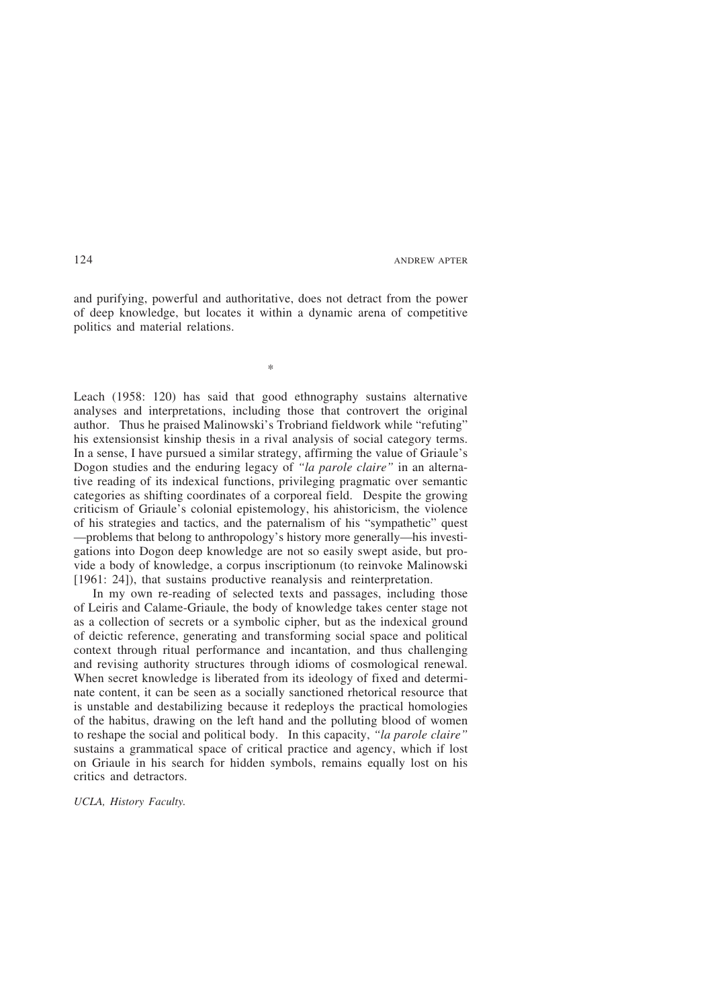and purifying, powerful and authoritative, does not detract from the power of deep knowledge, but locates it within a dynamic arena of competitive politics and material relations.

\*

Leach (1958: 120) has said that good ethnography sustains alternative analyses and interpretations, including those that controvert the original author. Thus he praised Malinowski's Trobriand fieldwork while "refuting" his extensionsist kinship thesis in a rival analysis of social category terms. In a sense, I have pursued a similar strategy, affirming the value of Griaule's Dogon studies and the enduring legacy of *"la parole claire"* in an alternative reading of its indexical functions, privileging pragmatic over semantic categories as shifting coordinates of a corporeal field. Despite the growing criticism of Griaule's colonial epistemology, his ahistoricism, the violence of his strategies and tactics, and the paternalism of his "sympathetic" quest —problems that belong to anthropology's history more generally—his investigations into Dogon deep knowledge are not so easily swept aside, but provide a body of knowledge, a corpus inscriptionum (to reinvoke Malinowski [1961: 24]), that sustains productive reanalysis and reinterpretation.

In my own re-reading of selected texts and passages, including those of Leiris and Calame-Griaule, the body of knowledge takes center stage not as a collection of secrets or a symbolic cipher, but as the indexical ground of deictic reference, generating and transforming social space and political context through ritual performance and incantation, and thus challenging and revising authority structures through idioms of cosmological renewal. When secret knowledge is liberated from its ideology of fixed and determinate content, it can be seen as a socially sanctioned rhetorical resource that is unstable and destabilizing because it redeploys the practical homologies of the habitus, drawing on the left hand and the polluting blood of women to reshape the social and political body. In this capacity, *"la parole claire"* sustains a grammatical space of critical practice and agency, which if lost on Griaule in his search for hidden symbols, remains equally lost on his critics and detractors.

*UCLA, History Faculty.*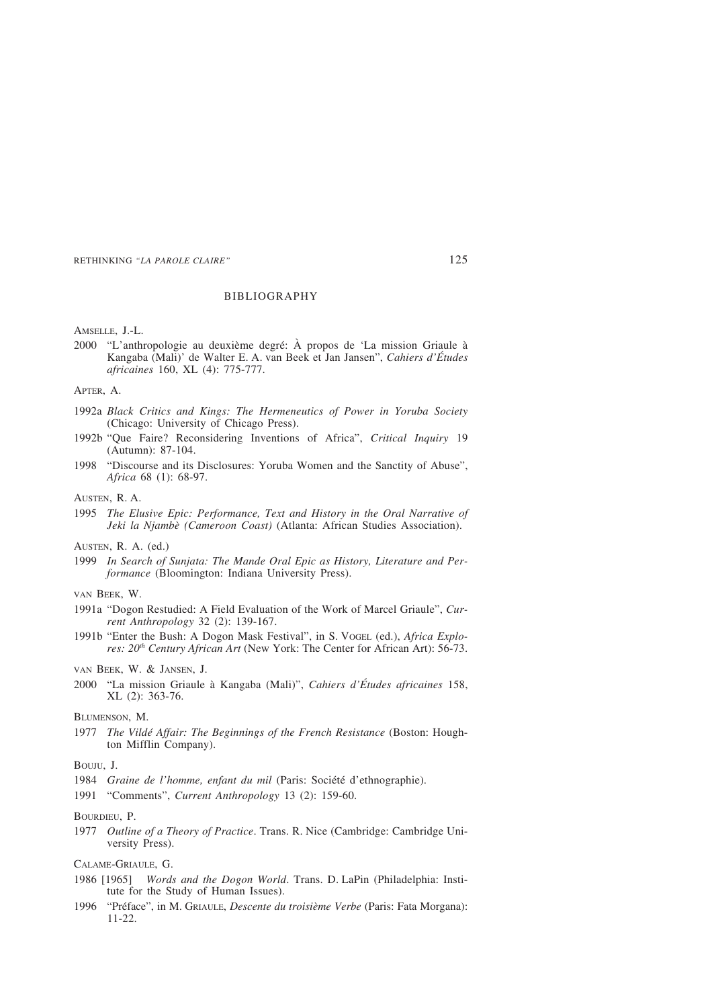#### BIBLIOGRAPHY

AMSELLE, J.-L.

2000 "L'anthropologie au deuxième degré: A` propos de 'La mission Griaule à Kangaba (Mali)' de Walter E. A. van Beek et Jan Jansen", *Cahiers d'Études africaines* 160, XL (4): 775-777.

APTER, A.

- 1992a *Black Critics and Kings: The Hermeneutics of Power in Yoruba Society* (Chicago: University of Chicago Press).
- 1992b "Que Faire? Reconsidering Inventions of Africa", *Critical Inquiry* 19 (Autumn): 87-104.
- 1998 "Discourse and its Disclosures: Yoruba Women and the Sanctity of Abuse", *Africa* 68 (1): 68-97.
- AUSTEN, R. A.
- 1995 *The Elusive Epic: Performance, Text and History in the Oral Narrative of Jeki la Njambè (Cameroon Coast)* (Atlanta: African Studies Association).
- AUSTEN, R. A. (ed.)
- 1999 *In Search of Sunjata: The Mande Oral Epic as History, Literature and Performance* (Bloomington: Indiana University Press).
- VAN BEEK, W.
- 1991a "Dogon Restudied: A Field Evaluation of the Work of Marcel Griaule", *Current Anthropology* 32 (2): 139-167.
- 1991b "Enter the Bush: A Dogon Mask Festival", in S. VOGEL (ed.), *Africa Explores: 20th Century African Art* (New York: The Center for African Art): 56-73.
- VAN BEEK, W. & JANSEN, J.
- 2000 "La mission Griaule à Kangaba (Mali)", *Cahiers d'Études africaines* 158, XL (2): 363-76.

BLUMENSON, M.

1977 *The Vildé Affair: The Beginnings of the French Resistance* (Boston: Houghton Mifflin Company).

BOUJU, J.

- 1984 *Graine de l'homme, enfant du mil* (Paris: Société d'ethnographie).
- 1991 "Comments", *Current Anthropology* 13 (2): 159-60.

BOURDIEU, P.

1977 *Outline of a Theory of Practice*. Trans. R. Nice (Cambridge: Cambridge University Press).

CALAME-GRIAULE, G.

- 1986 [1965] *Words and the Dogon World*. Trans. D. LaPin (Philadelphia: Institute for the Study of Human Issues).
- 1996 "Préface", in M. GRIAULE, *Descente du troisième Verbe* (Paris: Fata Morgana): 11-22.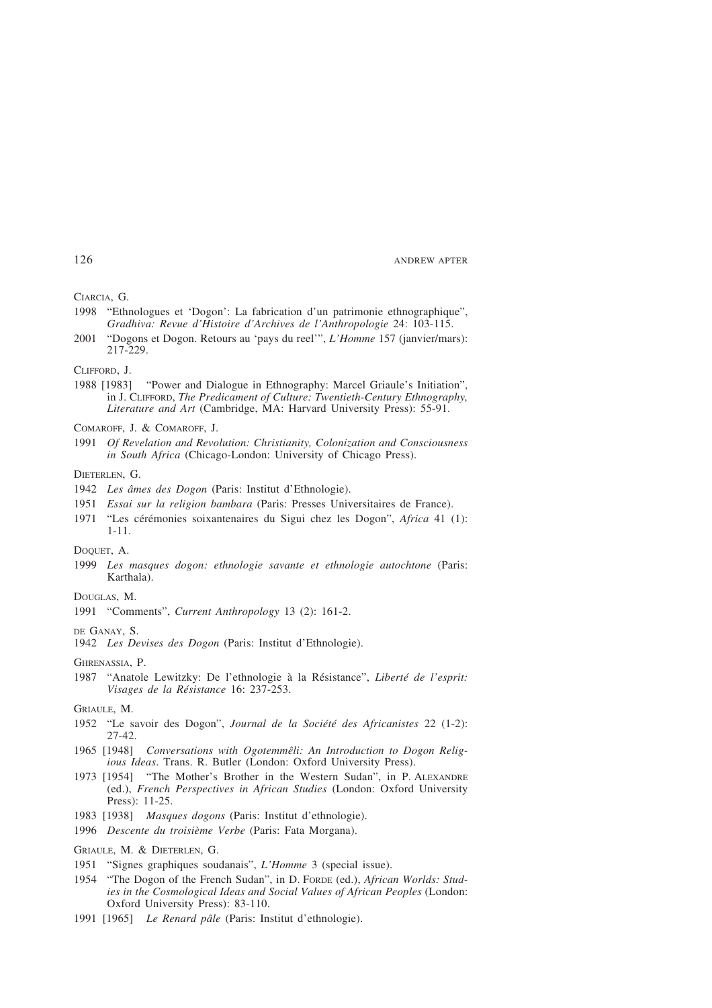CIARCIA, G.

- 1998 "Ethnologues et 'Dogon': La fabrication d'un patrimonie ethnographique", *Gradhiva: Revue d'Histoire d'Archives de l'Anthropologie* 24: 103-115.
- 2001 "Dogons et Dogon. Retours au 'pays du reel'", *L'Homme* 157 (janvier/mars): 217-229.

CLIFFORD, J.

1988 [1983] "Power and Dialogue in Ethnography: Marcel Griaule's Initiation", in J. CLIFFORD, *The Predicament of Culture: Twentieth-Century Ethnography, Literature and Art* (Cambridge, MA: Harvard University Press): 55-91.

COMAROFF, J. & COMAROFF, J.

1991 *Of Revelation and Revolution: Christianity, Colonization and Consciousness in South Africa* (Chicago-London: University of Chicago Press).

DIETERLEN, G.

- 1942 *Les âmes des Dogon* (Paris: Institut d'Ethnologie).
- 1951 *Essai sur la religion bambara* (Paris: Presses Universitaires de France).
- 1971 "Les cérémonies soixantenaires du Sigui chez les Dogon", *Africa* 41 (1): 1-11.

DOQUET, A.

1999 *Les masques dogon: ethnologie savante et ethnologie autochtone* (Paris: Karthala).

DOUGLAS, M.

1991 "Comments", *Current Anthropology* 13 (2): 161-2.

DE GANAY, S.

1942 *Les Devises des Dogon* (Paris: Institut d'Ethnologie).

GHRENASSIA, P.

1987 "Anatole Lewitzky: De l'ethnologie à la Résistance", *Liberté de l'esprit: Visages de la Résistance* 16: 237-253.

GRIAULE, M.

- 1952 "Le savoir des Dogon", *Journal de la Société des Africanistes* 22 (1-2): 27-42.
- 1965 [1948] *Conversations with Ogotemmêli: An Introduction to Dogon Religious Ideas*. Trans. R. Butler (London: Oxford University Press).
- 1973 [1954] "The Mother's Brother in the Western Sudan", in P. ALEXANDRE (ed.), *French Perspectives in African Studies* (London: Oxford University Press): 11-25.
- 1983 [1938] *Masques dogons* (Paris: Institut d'ethnologie).
- 1996 *Descente du troisième Verbe* (Paris: Fata Morgana).
- GRIAULE, M. & DIETERLEN, G.
- 1951 "Signes graphiques soudanais", *L'Homme* 3 (special issue).
- 1954 "The Dogon of the French Sudan", in D. FORDE (ed.), *African Worlds: Studies in the Cosmological Ideas and Social Values of African Peoples* (London: Oxford University Press): 83-110.
- 1991 [1965] *Le Renard pâle* (Paris: Institut d'ethnologie).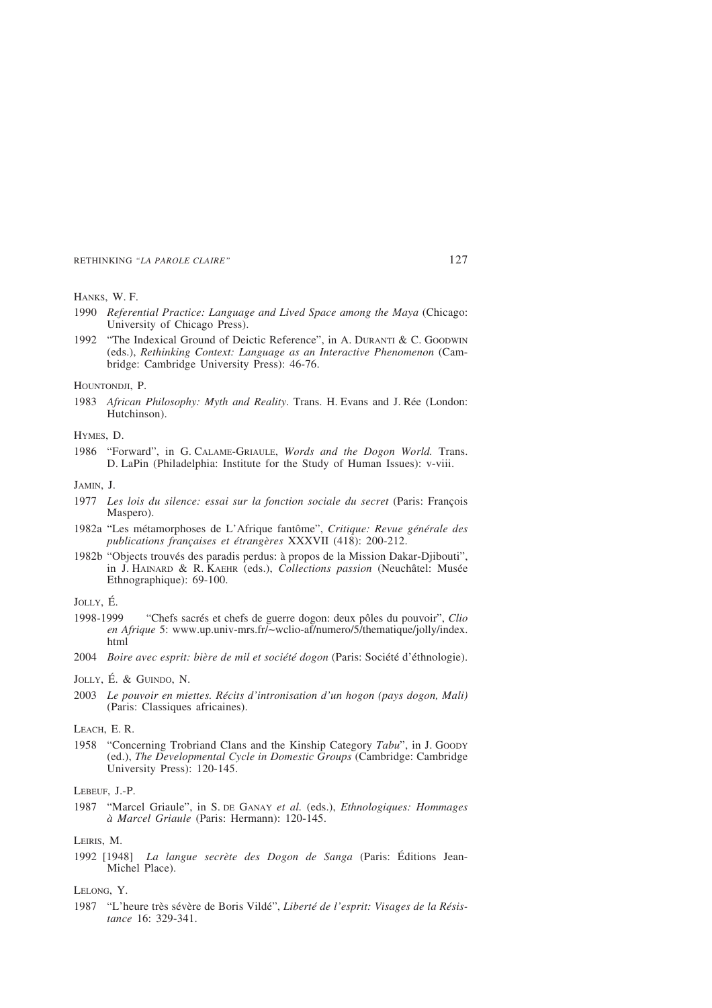HANKS, W. F.

- 1990 *Referential Practice: Language and Lived Space among the Maya* (Chicago: University of Chicago Press).
- 1992 "The Indexical Ground of Deictic Reference", in A. DURANTI & C. GOODWIN (eds.), *Rethinking Context: Language as an Interactive Phenomenon* (Cambridge: Cambridge University Press): 46-76.

HOUNTONDIL P.

1983 *African Philosophy: Myth and Reality*. Trans. H. Evans and J. Rée (London: Hutchinson).

HYMES, D.

1986 "Forward", in G. CALAME-GRIAULE, *Words and the Dogon World.* Trans. D. LaPin (Philadelphia: Institute for the Study of Human Issues): v-viii.

JAMIN, J.

- 1977 *Les lois du silence: essai sur la fonction sociale du secret* (Paris: François Maspero).
- 1982a "Les métamorphoses de L'Afrique fantôme", *Critique: Revue générale des publications françaises et étrangères* XXXVII (418): 200-212.
- 1982b "Objects trouvés des paradis perdus: à propos de la Mission Dakar-Djibouti", in J. HAINARD & R. KAEHR (eds.), *Collections passion* (Neuchâtel: Musée Ethnographique): 69-100.
- JOLLY, É.
- 1998-1999 "Chefs sacrés et chefs de guerre dogon: deux pôles du pouvoir", *Clio en Afrique* 5: www.up.univ-mrs.fr/~wclio-af/numero/5/thematique/jolly/index. html
- 2004 *Boire avec esprit: bière de mil et société dogon* (Paris: Société d'éthnologie).
- JOLLY, É. & GUINDO, N.
- 2003 *Le pouvoir en miettes. Récits d'intronisation d'un hogon (pays dogon, Mali)* (Paris: Classiques africaines).

1958 "Concerning Trobriand Clans and the Kinship Category *Tabu*", in J. GOODY (ed.), *The Developmental Cycle in Domestic Groups* (Cambridge: Cambridge University Press): 120-145.

LEBEUF, J.-P.

1987 "Marcel Griaule", in S. DE GANAY *et al.* (eds.), *Ethnologiques: Hommages à Marcel Griaule* (Paris: Hermann): 120-145.

LEIRIS, M.

1992 [1948] *La langue secrète des Dogon de Sanga* (Paris: Éditions Jean-Michel Place).

## LELONG, Y.

1987 "L'heure très sévère de Boris Vildé", *Liberté de l'esprit: Visages de la Résistance* 16: 329-341.

LEACH, E. R.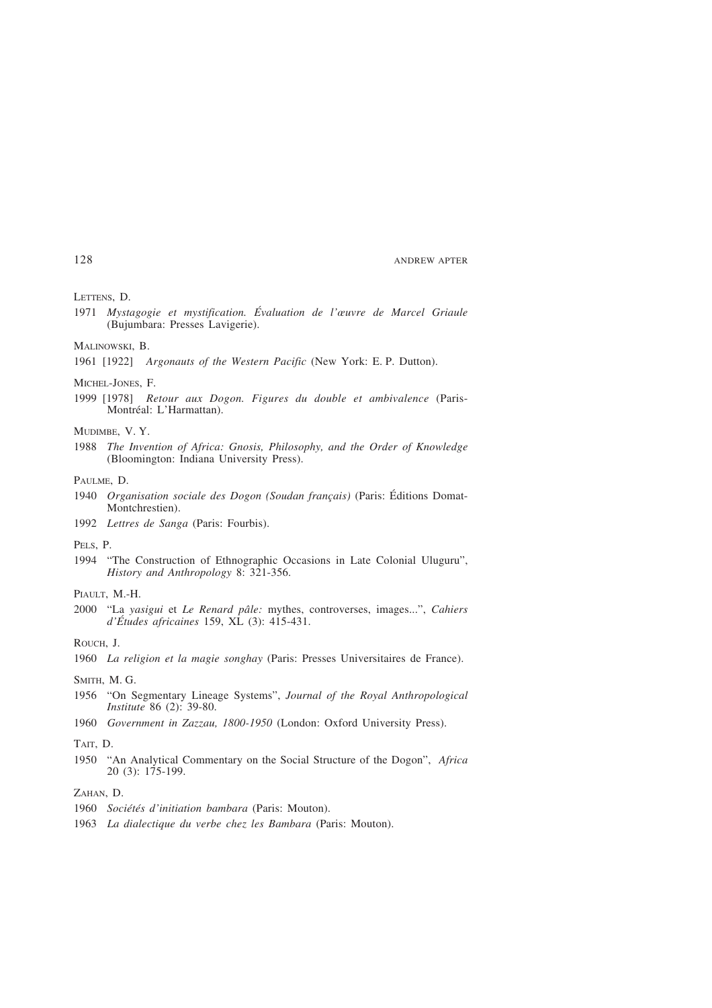#### LETTENS, D.

1971 *Mystagogie et mystification. Évaluation de l'œuvre de Marcel Griaule* (Bujumbara: Presses Lavigerie).

#### MALINOWSKI, B.

- 1961 [1922] *Argonauts of the Western Pacific* (New York: E. P. Dutton).
- MICHEL-JONES, F.
- 1999 [1978] *Retour aux Dogon. Figures du double et ambivalence* (Paris-Montréal: L'Harmattan).

MUDIMBE, V. Y.

1988 *The Invention of Africa: Gnosis, Philosophy, and the Order of Knowledge* (Bloomington: Indiana University Press).

## PAULME, D.

- 1940 *Organisation sociale des Dogon (Soudan français)* (Paris: Éditions Domat-Montchrestien).
- 1992 *Lettres de Sanga* (Paris: Fourbis).

## PELS, P.

1994 "The Construction of Ethnographic Occasions in Late Colonial Uluguru", *History and Anthropology* 8: 321-356.

PIAULT, M.-H.

2000 "La *yasigui* et *Le Renard pâle:* mythes, controverses, images...", *Cahiers d'Études africaines* 159, XL (3): 415-431.

ROUCH, J.

1960 *La religion et la magie songhay* (Paris: Presses Universitaires de France).

SMITH, M. G.

- 1956 "On Segmentary Lineage Systems", *Journal of the Royal Anthropological Institute* 86 (2): 39-80.
- 1960 *Government in Zazzau, 1800-1950* (London: Oxford University Press).

TAIT, D.

1950 "An Analytical Commentary on the Social Structure of the Dogon", *Africa* 20 (3): 175-199.

#### ZAHAN, D.

- 1960 *Sociétés d'initiation bambara* (Paris: Mouton).
- 1963 *La dialectique du verbe chez les Bambara* (Paris: Mouton).